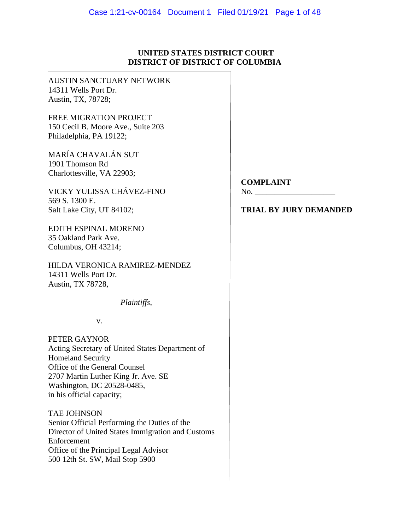## **UNITED STATES DISTRICT COURT DISTRICT OF DISTRICT OF COLUMBIA**

AUSTIN SANCTUARY NETWORK 14311 Wells Port Dr. Austin, TX, 78728;

FREE MIGRATION PROJECT 150 Cecil B. Moore Ave., Suite 203 Philadelphia, PA 19122;

MARÍA CHAVALÁN SUT 1901 Thomson Rd Charlottesville, VA 22903;

VICKY YULISSA CHÁVEZ-FINO No. 569 S. 1300 E. Salt Lake City, UT 84102; **TRIAL BY JURY DEMANDED** 

EDITH ESPINAL MORENO 35 Oakland Park Ave. Columbus, OH 43214;

HILDA VERONICA RAMIREZ-MENDEZ 14311 Wells Port Dr. Austin, TX 78728,

*Plaintiffs*,

v.

PETER GAYNOR Acting Secretary of United States Department of Homeland Security Office of the General Counsel 2707 Martin Luther King Jr. Ave. SE Washington, DC 20528-0485, in his official capacity;

TAE JOHNSON Senior Official Performing the Duties of the Director of United States Immigration and Customs Enforcement Office of the Principal Legal Advisor 500 12th St. SW, Mail Stop 5900

## **COMPLAINT**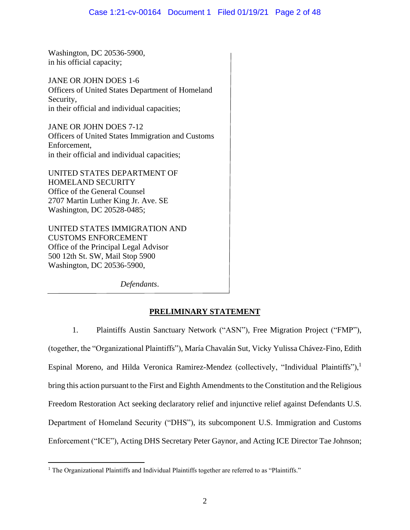Washington, DC 20536-5900, in his official capacity;

JANE OR JOHN DOES 1-6 Officers of United States Department of Homeland Security, in their official and individual capacities;

JANE OR JOHN DOES 7-12 Officers of United States Immigration and Customs Enforcement, in their official and individual capacities;

UNITED STATES DEPARTMENT OF HOMELAND SECURITY Office of the General Counsel 2707 Martin Luther King Jr. Ave. SE Washington, DC 20528-0485;

UNITED STATES IMMIGRATION AND CUSTOMS ENFORCEMENT Office of the Principal Legal Advisor 500 12th St. SW, Mail Stop 5900 Washington, DC 20536-5900,

*Defendants*.

# **PRELIMINARY STATEMENT**

1. Plaintiffs Austin Sanctuary Network ("ASN"), Free Migration Project ("FMP"), (together, the "Organizational Plaintiffs"), María Chavalán Sut, Vicky Yulissa Chávez-Fino, Edith Espinal Moreno, and Hilda Veronica Ramirez-Mendez (collectively, "Individual Plaintiffs"),<sup>1</sup> bring this action pursuant to the First and Eighth Amendments to the Constitution and the Religious Freedom Restoration Act seeking declaratory relief and injunctive relief against Defendants U.S. Department of Homeland Security ("DHS"), its subcomponent U.S. Immigration and Customs Enforcement ("ICE"), Acting DHS Secretary Peter Gaynor, and Acting ICE Director Tae Johnson;

<sup>&</sup>lt;sup>1</sup> The Organizational Plaintiffs and Individual Plaintiffs together are referred to as "Plaintiffs."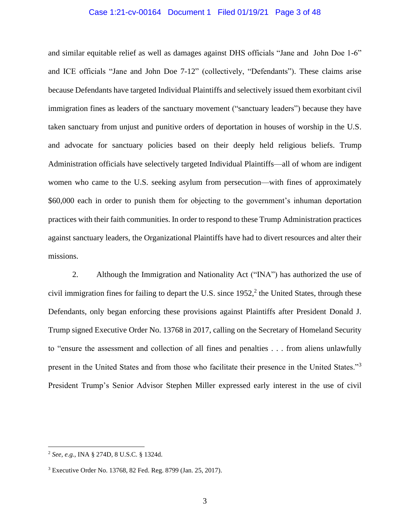#### Case 1:21-cv-00164 Document 1 Filed 01/19/21 Page 3 of 48

and similar equitable relief as well as damages against DHS officials "Jane and John Doe 1-6" and ICE officials "Jane and John Doe 7-12" (collectively, "Defendants"). These claims arise because Defendants have targeted Individual Plaintiffs and selectively issued them exorbitant civil immigration fines as leaders of the sanctuary movement ("sanctuary leaders") because they have taken sanctuary from unjust and punitive orders of deportation in houses of worship in the U.S. and advocate for sanctuary policies based on their deeply held religious beliefs. Trump Administration officials have selectively targeted Individual Plaintiffs—all of whom are indigent women who came to the U.S. seeking asylum from persecution—with fines of approximately \$60,000 each in order to punish them for objecting to the government's inhuman deportation practices with their faith communities. In order to respond to these Trump Administration practices against sanctuary leaders, the Organizational Plaintiffs have had to divert resources and alter their missions.

2. Although the Immigration and Nationality Act ("INA") has authorized the use of civil immigration fines for failing to depart the U.S. since  $1952$ , the United States, through these Defendants, only began enforcing these provisions against Plaintiffs after President Donald J. Trump signed Executive Order No. 13768 in 2017, calling on the Secretary of Homeland Security to "ensure the assessment and collection of all fines and penalties . . . from aliens unlawfully present in the United States and from those who facilitate their presence in the United States."<sup>3</sup> President Trump's Senior Advisor Stephen Miller expressed early interest in the use of civil

<sup>2</sup> *See, e.g.*, INA § 274D, 8 U.S.C. § 1324d.

<sup>3</sup> Executive Order No. 13768, 82 Fed. Reg. 8799 (Jan. 25, 2017).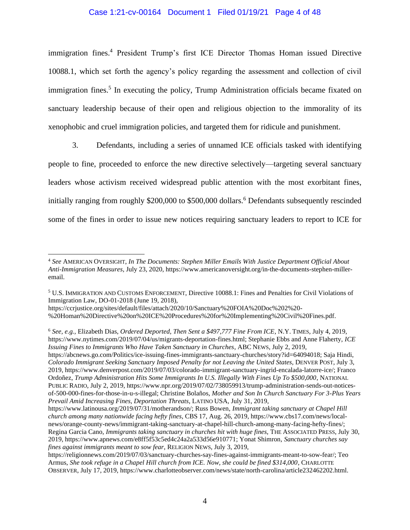## Case 1:21-cv-00164 Document 1 Filed 01/19/21 Page 4 of 48

immigration fines. <sup>4</sup> President Trump's first ICE Director Thomas Homan issued Directive 10088.1, which set forth the agency's policy regarding the assessment and collection of civil immigration fines.<sup>5</sup> In executing the policy, Trump Administration officials became fixated on sanctuary leadership because of their open and religious objection to the immorality of its xenophobic and cruel immigration policies, and targeted them for ridicule and punishment.

3. Defendants, including a series of unnamed ICE officials tasked with identifying people to fine, proceeded to enforce the new directive selectively—targeting several sanctuary leaders whose activism received widespread public attention with the most exorbitant fines, initially ranging from roughly \$200,000 to \$500,000 dollars. <sup>6</sup> Defendants subsequently rescinded some of the fines in order to issue new notices requiring sanctuary leaders to report to ICE for

<sup>6</sup> *See, e.g.,* Elizabeth Dias, *Ordered Deported, Then Sent a \$497,777 Fine From ICE*, N.Y. TIMES, July 4, 2019, https://www.nytimes.com/2019/07/04/us/migrants-deportation-fines.html; Stephanie Ebbs and Anne Flaherty, *ICE Issuing Fines to Immigrants Who Have Taken Sanctuary in Churches*, ABC NEWS, July 2, 2019, https://abcnews.go.com/Politics/ice-issuing-fines-immigrants-sanctuary-churches/story?id=64094018; Saja Hindi, *Colorado Immigrant Seeking Sanctuary Imposed Penalty for not Leaving the United States*, DENVER POST, July 3, 2019, https://www.denverpost.com/2019/07/03/colorado-immigrant-sanctuary-ingrid-encalada-latorre-ice/; Franco Ordoñez, *Trump Administration Hits Some Immigrants In U.S. Illegally With Fines Up To \$500,000*, NATIONAL PUBLIC RADIO, July 2, 2019, https://www.npr.org/2019/07/02/738059913/trump-administration-sends-out-noticesof-500-000-fines-for-those-in-u-s-illegal; Christine Bolaños, *Mother and Son In Church Sanctuary For 3-Plus Years Prevail Amid Increasing Fines, Deportation Threats*, LATINO USA, July 31, 2019,

<sup>4</sup> *See* AMERICAN OVERSIGHT, *In The Documents: Stephen Miller Emails With Justice Department Official About Anti-Immigration Measures*, July 23, 2020, https://www.americanoversight.org/in-the-documents-stephen-milleremail.

<sup>5</sup> U.S. IMMIGRATION AND CUSTOMS ENFORCEMENT, Directive 10088.1: Fines and Penalties for Civil Violations of Immigration Law, DO-01-2018 (June 19, 2018),

https://ccrjustice.org/sites/default/files/attach/2020/10/Sanctuary%20FOIA%20Doc%202%20- %20Homan%20Directive%20on%20ICE%20Procedures%20for%20Implementing%20Civil%20Fines.pdf.

https://www.latinousa.org/2019/07/31/motherandson/; Russ Bowen, *Immigrant taking sanctuary at Chapel Hill church among many nationwide facing hefty fines*, CBS 17, Aug. 26, 2019, https://www.cbs17.com/news/localnews/orange-county-news/immigrant-taking-sanctuary-at-chapel-hill-church-among-many-facing-hefty-fines/; Regina Garcia Cano, *Immigrants taking sanctuary in churches hit with huge fines*, THE ASSOCIATED PRESS, July 30, 2019*,* https://www.apnews.com/e8ff5f53c5ed4c24a2a533d56e910771; Yonat Shimron, *Sanctuary churches say fines against immigrants meant to sow fear*, RELIGION NEWS, July 3, 2019,

https://religionnews.com/2019/07/03/sanctuary-churches-say-fines-against-immigrants-meant-to-sow-fear/; Teo Armus, *She took refuge in a Chapel Hill church from ICE. Now, she could be fined \$314,000*, CHARLOTTE OBSERVER, July 17, 2019, https://www.charlotteobserver.com/news/state/north-carolina/article232462202.html.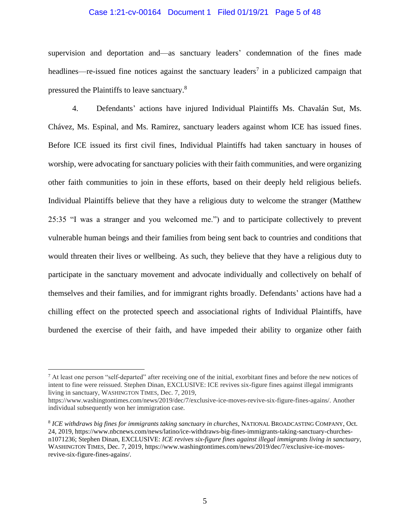#### Case 1:21-cv-00164 Document 1 Filed 01/19/21 Page 5 of 48

supervision and deportation and—as sanctuary leaders' condemnation of the fines made headlines—re-issued fine notices against the sanctuary leaders<sup>7</sup> in a publicized campaign that pressured the Plaintiffs to leave sanctuary.<sup>8</sup>

4. Defendants' actions have injured Individual Plaintiffs Ms. Chavalán Sut, Ms. Chávez, Ms. Espinal, and Ms. Ramirez, sanctuary leaders against whom ICE has issued fines. Before ICE issued its first civil fines, Individual Plaintiffs had taken sanctuary in houses of worship, were advocating for sanctuary policies with their faith communities, and were organizing other faith communities to join in these efforts, based on their deeply held religious beliefs. Individual Plaintiffs believe that they have a religious duty to welcome the stranger (Matthew 25:35 "I was a stranger and you welcomed me.") and to participate collectively to prevent vulnerable human beings and their families from being sent back to countries and conditions that would threaten their lives or wellbeing. As such, they believe that they have a religious duty to participate in the sanctuary movement and advocate individually and collectively on behalf of themselves and their families, and for immigrant rights broadly. Defendants' actions have had a chilling effect on the protected speech and associational rights of Individual Plaintiffs, have burdened the exercise of their faith, and have impeded their ability to organize other faith

<sup>7</sup> At least one person "self-departed" after receiving one of the initial, exorbitant fines and before the new notices of intent to fine were reissued. Stephen Dinan, EXCLUSIVE: ICE revives six-figure fines against illegal immigrants living in sanctuary, WASHINGTON TIMES, Dec. 7, 2019,

https://www.washingtontimes.com/news/2019/dec/7/exclusive-ice-moves-revive-six-figure-fines-agains/. Another individual subsequently won her immigration case.

<sup>8</sup> *ICE withdraws big fines for immigrants taking sanctuary in churches*, NATIONAL BROADCASTING COMPANY, Oct. 24, 2019, https://www.nbcnews.com/news/latino/ice-withdraws-big-fines-immigrants-taking-sanctuary-churchesn1071236; Stephen Dinan, EXCLUSIVE: *ICE revives six-figure fines against illegal immigrants living in sanctuary*, WASHINGTON TIMES, Dec. 7, 2019, https://www.washingtontimes.com/news/2019/dec/7/exclusive-ice-movesrevive-six-figure-fines-agains/.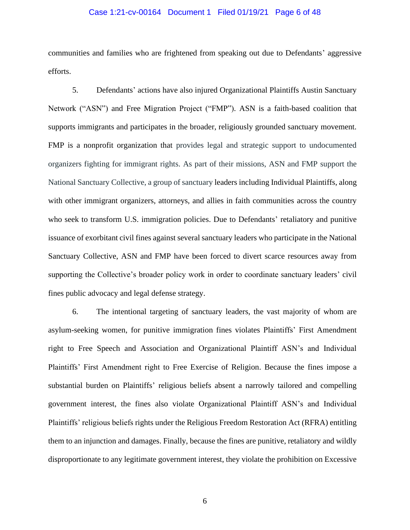#### Case 1:21-cv-00164 Document 1 Filed 01/19/21 Page 6 of 48

communities and families who are frightened from speaking out due to Defendants' aggressive efforts.

5. Defendants' actions have also injured Organizational Plaintiffs Austin Sanctuary Network ("ASN") and Free Migration Project ("FMP"). ASN is a faith-based coalition that supports immigrants and participates in the broader, religiously grounded sanctuary movement. FMP is a nonprofit organization that provides legal and strategic support to undocumented organizers fighting for immigrant rights. As part of their missions, ASN and FMP support the National Sanctuary Collective, a group of sanctuary leaders including Individual Plaintiffs, along with other immigrant organizers, attorneys, and allies in faith communities across the country who seek to transform U.S. immigration policies. Due to Defendants' retaliatory and punitive issuance of exorbitant civil fines against several sanctuary leaders who participate in the National Sanctuary Collective, ASN and FMP have been forced to divert scarce resources away from supporting the Collective's broader policy work in order to coordinate sanctuary leaders' civil fines public advocacy and legal defense strategy.

6. The intentional targeting of sanctuary leaders, the vast majority of whom are asylum-seeking women, for punitive immigration fines violates Plaintiffs' First Amendment right to Free Speech and Association and Organizational Plaintiff ASN's and Individual Plaintiffs' First Amendment right to Free Exercise of Religion. Because the fines impose a substantial burden on Plaintiffs' religious beliefs absent a narrowly tailored and compelling government interest, the fines also violate Organizational Plaintiff ASN's and Individual Plaintiffs' religious beliefs rights under the Religious Freedom Restoration Act (RFRA) entitling them to an injunction and damages. Finally, because the fines are punitive, retaliatory and wildly disproportionate to any legitimate government interest, they violate the prohibition on Excessive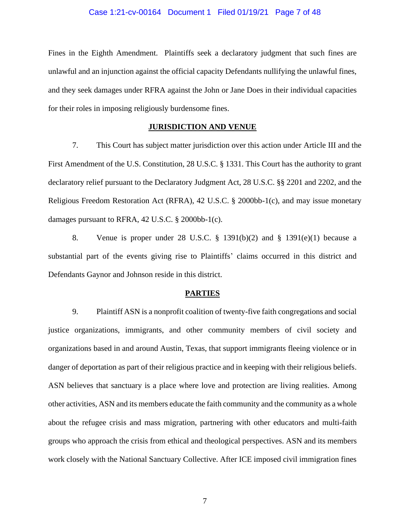#### Case 1:21-cv-00164 Document 1 Filed 01/19/21 Page 7 of 48

Fines in the Eighth Amendment. Plaintiffs seek a declaratory judgment that such fines are unlawful and an injunction against the official capacity Defendants nullifying the unlawful fines, and they seek damages under RFRA against the John or Jane Does in their individual capacities for their roles in imposing religiously burdensome fines.

#### **JURISDICTION AND VENUE**

7. This Court has subject matter jurisdiction over this action under Article III and the First Amendment of the U.S. Constitution, 28 U.S.C. § 1331. This Court has the authority to grant declaratory relief pursuant to the Declaratory Judgment Act, 28 U.S.C. §§ 2201 and 2202, and the Religious Freedom Restoration Act (RFRA), 42 U.S.C. § 2000bb-1(c), and may issue monetary damages pursuant to RFRA, 42 U.S.C. § 2000bb-1(c).

8. Venue is proper under 28 U.S.C. § 1391(b)(2) and § 1391(e)(1) because a substantial part of the events giving rise to Plaintiffs' claims occurred in this district and Defendants Gaynor and Johnson reside in this district.

#### **PARTIES**

9. Plaintiff ASN is a nonprofit coalition of twenty-five faith congregations and social justice organizations, immigrants, and other community members of civil society and organizations based in and around Austin, Texas, that support immigrants fleeing violence or in danger of deportation as part of their religious practice and in keeping with their religious beliefs. ASN believes that sanctuary is a place where love and protection are living realities. Among other activities, ASN and its members educate the faith community and the community as a whole about the refugee crisis and mass migration, partnering with other educators and multi-faith groups who approach the crisis from ethical and theological perspectives. ASN and its members work closely with the National Sanctuary Collective. After ICE imposed civil immigration fines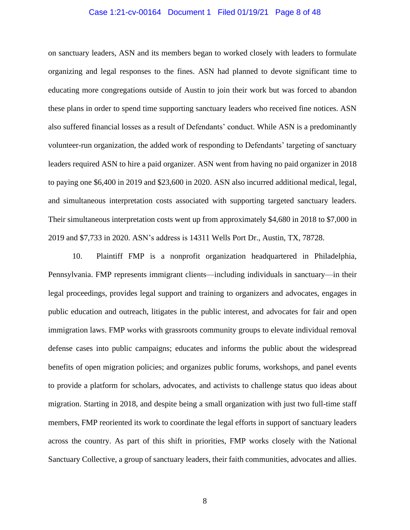#### Case 1:21-cv-00164 Document 1 Filed 01/19/21 Page 8 of 48

on sanctuary leaders, ASN and its members began to worked closely with leaders to formulate organizing and legal responses to the fines. ASN had planned to devote significant time to educating more congregations outside of Austin to join their work but was forced to abandon these plans in order to spend time supporting sanctuary leaders who received fine notices. ASN also suffered financial losses as a result of Defendants' conduct. While ASN is a predominantly volunteer-run organization, the added work of responding to Defendants' targeting of sanctuary leaders required ASN to hire a paid organizer. ASN went from having no paid organizer in 2018 to paying one \$6,400 in 2019 and \$23,600 in 2020. ASN also incurred additional medical, legal, and simultaneous interpretation costs associated with supporting targeted sanctuary leaders. Their simultaneous interpretation costs went up from approximately \$4,680 in 2018 to \$7,000 in 2019 and \$7,733 in 2020. ASN's address is 14311 Wells Port Dr., Austin, TX, 78728.

10. Plaintiff FMP is a nonprofit organization headquartered in Philadelphia, Pennsylvania. FMP represents immigrant clients—including individuals in sanctuary—in their legal proceedings, provides legal support and training to organizers and advocates, engages in public education and outreach, litigates in the public interest, and advocates for fair and open immigration laws. FMP works with grassroots community groups to elevate individual removal defense cases into public campaigns; educates and informs the public about the widespread benefits of open migration policies; and organizes public forums, workshops, and panel events to provide a platform for scholars, advocates, and activists to challenge status quo ideas about migration. Starting in 2018, and despite being a small organization with just two full-time staff members, FMP reoriented its work to coordinate the legal efforts in support of sanctuary leaders across the country. As part of this shift in priorities, FMP works closely with the National Sanctuary Collective, a group of sanctuary leaders, their faith communities, advocates and allies.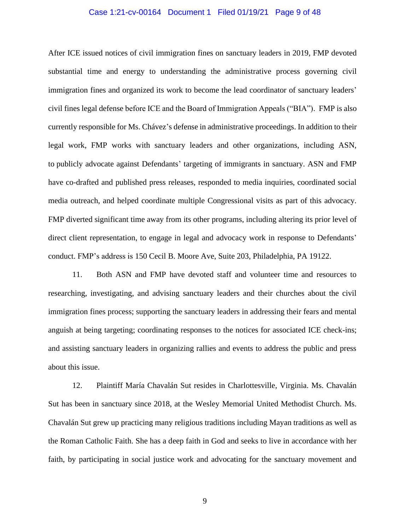#### Case 1:21-cv-00164 Document 1 Filed 01/19/21 Page 9 of 48

After ICE issued notices of civil immigration fines on sanctuary leaders in 2019, FMP devoted substantial time and energy to understanding the administrative process governing civil immigration fines and organized its work to become the lead coordinator of sanctuary leaders' civil fines legal defense before ICE and the Board of Immigration Appeals ("BIA"). FMP is also currently responsible for Ms. Chávez's defense in administrative proceedings. In addition to their legal work, FMP works with sanctuary leaders and other organizations, including ASN, to publicly advocate against Defendants' targeting of immigrants in sanctuary. ASN and FMP have co-drafted and published press releases, responded to media inquiries, coordinated social media outreach, and helped coordinate multiple Congressional visits as part of this advocacy. FMP diverted significant time away from its other programs, including altering its prior level of direct client representation, to engage in legal and advocacy work in response to Defendants' conduct. FMP's address is 150 Cecil B. Moore Ave, Suite 203, Philadelphia, PA 19122.

11. Both ASN and FMP have devoted staff and volunteer time and resources to researching, investigating, and advising sanctuary leaders and their churches about the civil immigration fines process; supporting the sanctuary leaders in addressing their fears and mental anguish at being targeting; coordinating responses to the notices for associated ICE check-ins; and assisting sanctuary leaders in organizing rallies and events to address the public and press about this issue.

12. Plaintiff María Chavalán Sut resides in Charlottesville, Virginia. Ms. Chavalán Sut has been in sanctuary since 2018, at the Wesley Memorial United Methodist Church. Ms. Chavalán Sut grew up practicing many religious traditions including Mayan traditions as well as the Roman Catholic Faith. She has a deep faith in God and seeks to live in accordance with her faith, by participating in social justice work and advocating for the sanctuary movement and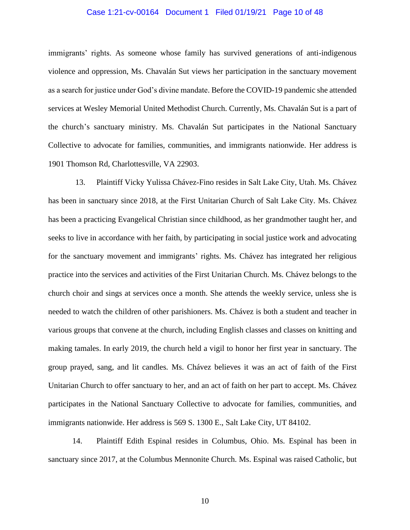#### Case 1:21-cv-00164 Document 1 Filed 01/19/21 Page 10 of 48

immigrants' rights. As someone whose family has survived generations of anti-indigenous violence and oppression, Ms. Chavalán Sut views her participation in the sanctuary movement as a search for justice under God's divine mandate. Before the COVID-19 pandemic she attended services at Wesley Memorial United Methodist Church. Currently, Ms. Chavalán Sut is a part of the church's sanctuary ministry. Ms. Chavalán Sut participates in the National Sanctuary Collective to advocate for families, communities, and immigrants nationwide. Her address is 1901 Thomson Rd, Charlottesville, VA 22903.

13. Plaintiff Vicky Yulissa Chávez-Fino resides in Salt Lake City, Utah. Ms. Chávez has been in sanctuary since 2018, at the First Unitarian Church of Salt Lake City. Ms. Chávez has been a practicing Evangelical Christian since childhood, as her grandmother taught her, and seeks to live in accordance with her faith, by participating in social justice work and advocating for the sanctuary movement and immigrants' rights. Ms. Chávez has integrated her religious practice into the services and activities of the First Unitarian Church. Ms. Chávez belongs to the church choir and sings at services once a month. She attends the weekly service, unless she is needed to watch the children of other parishioners. Ms. Chávez is both a student and teacher in various groups that convene at the church, including English classes and classes on knitting and making tamales. In early 2019, the church held a vigil to honor her first year in sanctuary*.* The group prayed, sang, and lit candles*.* Ms. Chávez believes it was an act of faith of the First Unitarian Church to offer sanctuary to her, and an act of faith on her part to accept. Ms. Chávez participates in the National Sanctuary Collective to advocate for families, communities, and immigrants nationwide. Her address is 569 S. 1300 E., Salt Lake City, UT 84102.

14. Plaintiff Edith Espinal resides in Columbus, Ohio. Ms. Espinal has been in sanctuary since 2017, at the Columbus Mennonite Church. Ms. Espinal was raised Catholic, but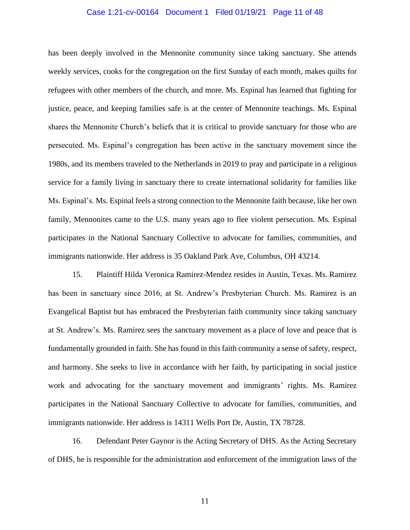#### Case 1:21-cv-00164 Document 1 Filed 01/19/21 Page 11 of 48

has been deeply involved in the Mennonite community since taking sanctuary. She attends weekly services, cooks for the congregation on the first Sunday of each month, makes quilts for refugees with other members of the church, and more. Ms. Espinal has learned that fighting for justice, peace, and keeping families safe is at the center of Mennonite teachings. Ms. Espinal shares the Mennonite Church's beliefs that it is critical to provide sanctuary for those who are persecuted. Ms. Espinal's congregation has been active in the sanctuary movement since the 1980s, and its members traveled to the Netherlands in 2019 to pray and participate in a religious service for a family living in sanctuary there to create international solidarity for families like Ms. Espinal's. Ms. Espinal feels a strong connection to the Mennonite faith because, like her own family, Mennonites came to the U.S. many years ago to flee violent persecution. Ms. Espinal participates in the National Sanctuary Collective to advocate for families, communities, and immigrants nationwide. Her address is 35 Oakland Park Ave, Columbus, OH 43214.

15. Plaintiff Hilda Veronica Ramirez-Mendez resides in Austin, Texas. Ms. Ramirez has been in sanctuary since 2016, at St. Andrew's Presbyterian Church. Ms. Ramirez is an Evangelical Baptist but has embraced the Presbyterian faith community since taking sanctuary at St. Andrew's. Ms. Ramirez sees the sanctuary movement as a place of love and peace that is fundamentally grounded in faith. She has found in this faith community a sense of safety, respect, and harmony. She seeks to live in accordance with her faith, by participating in social justice work and advocating for the sanctuary movement and immigrants' rights. Ms. Ramirez participates in the National Sanctuary Collective to advocate for families, communities, and immigrants nationwide. Her address is 14311 Wells Port Dr, Austin, TX 78728.

16. Defendant Peter Gaynor is the Acting Secretary of DHS. As the Acting Secretary of DHS, he is responsible for the administration and enforcement of the immigration laws of the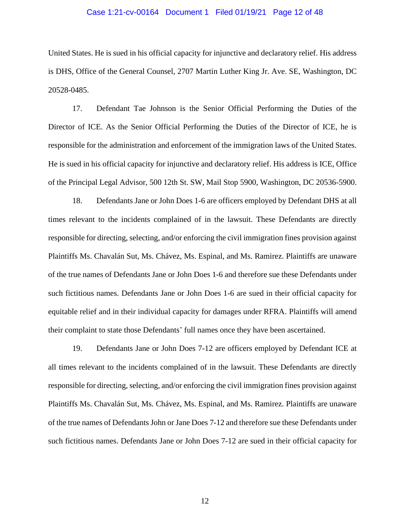#### Case 1:21-cv-00164 Document 1 Filed 01/19/21 Page 12 of 48

United States. He is sued in his official capacity for injunctive and declaratory relief. His address is DHS, Office of the General Counsel, 2707 Martin Luther King Jr. Ave. SE, Washington, DC 20528-0485.

17. Defendant Tae Johnson is the Senior Official Performing the Duties of the Director of ICE. As the Senior Official Performing the Duties of the Director of ICE, he is responsible for the administration and enforcement of the immigration laws of the United States. He is sued in his official capacity for injunctive and declaratory relief. His address is ICE, Office of the Principal Legal Advisor, 500 12th St. SW, Mail Stop 5900, Washington, DC 20536-5900.

18. Defendants Jane or John Does 1-6 are officers employed by Defendant DHS at all times relevant to the incidents complained of in the lawsuit. These Defendants are directly responsible for directing, selecting, and/or enforcing the civil immigration fines provision against Plaintiffs Ms. Chavalán Sut, Ms. Chávez, Ms. Espinal, and Ms. Ramirez. Plaintiffs are unaware of the true names of Defendants Jane or John Does 1-6 and therefore sue these Defendants under such fictitious names. Defendants Jane or John Does 1-6 are sued in their official capacity for equitable relief and in their individual capacity for damages under RFRA. Plaintiffs will amend their complaint to state those Defendants' full names once they have been ascertained.

19. Defendants Jane or John Does 7-12 are officers employed by Defendant ICE at all times relevant to the incidents complained of in the lawsuit. These Defendants are directly responsible for directing, selecting, and/or enforcing the civil immigration fines provision against Plaintiffs Ms. Chavalán Sut, Ms. Chávez, Ms. Espinal, and Ms. Ramirez. Plaintiffs are unaware of the true names of Defendants John or Jane Does 7-12 and therefore sue these Defendants under such fictitious names. Defendants Jane or John Does 7-12 are sued in their official capacity for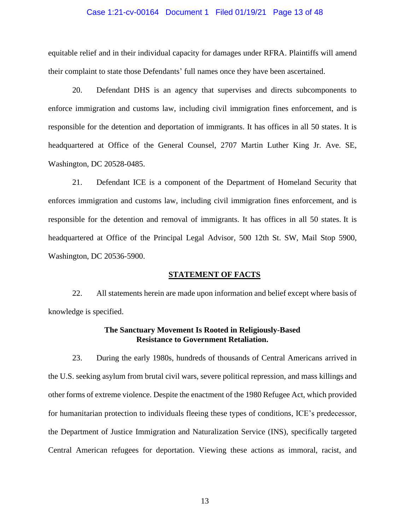#### Case 1:21-cv-00164 Document 1 Filed 01/19/21 Page 13 of 48

equitable relief and in their individual capacity for damages under RFRA. Plaintiffs will amend their complaint to state those Defendants' full names once they have been ascertained.

20. Defendant DHS is an agency that supervises and directs subcomponents to enforce immigration and customs law, including civil immigration fines enforcement, and is responsible for the detention and deportation of immigrants. It has offices in all 50 states. It is headquartered at Office of the General Counsel, 2707 Martin Luther King Jr. Ave. SE, Washington, DC 20528-0485.

21. Defendant ICE is a component of the Department of Homeland Security that enforces immigration and customs law, including civil immigration fines enforcement, and is responsible for the detention and removal of immigrants. It has offices in all 50 states. It is headquartered at Office of the Principal Legal Advisor, 500 12th St. SW, Mail Stop 5900, Washington, DC 20536-5900.

#### **STATEMENT OF FACTS**

22. All statements herein are made upon information and belief except where basis of knowledge is specified.

## **The Sanctuary Movement Is Rooted in Religiously-Based Resistance to Government Retaliation.**

23. During the early 1980s, hundreds of thousands of Central Americans arrived in the U.S. seeking asylum from brutal civil wars, severe political repression, and mass killings and other forms of extreme violence. Despite the enactment of the 1980 Refugee Act, which provided for humanitarian protection to individuals fleeing these types of conditions, ICE's predecessor, the Department of Justice Immigration and Naturalization Service (INS), specifically targeted Central American refugees for deportation. Viewing these actions as immoral, racist, and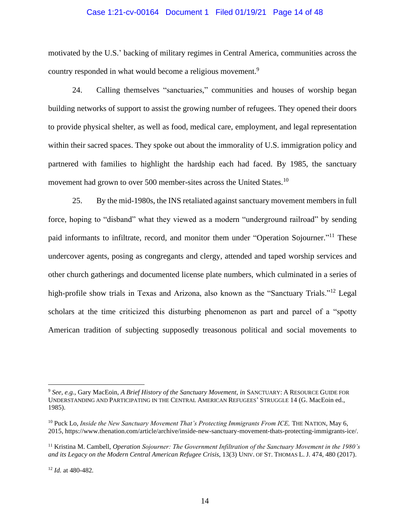## Case 1:21-cv-00164 Document 1 Filed 01/19/21 Page 14 of 48

motivated by the U.S.' backing of military regimes in Central America, communities across the country responded in what would become a religious movement.<sup>9</sup>

24. Calling themselves "sanctuaries," communities and houses of worship began building networks of support to assist the growing number of refugees. They opened their doors to provide physical shelter, as well as food, medical care, employment, and legal representation within their sacred spaces. They spoke out about the immorality of U.S. immigration policy and partnered with families to highlight the hardship each had faced. By 1985, the sanctuary movement had grown to over 500 member-sites across the United States.<sup>10</sup>

25. By the mid-1980s, the INS retaliated against sanctuary movement members in full force, hoping to "disband" what they viewed as a modern "underground railroad" by sending paid informants to infiltrate, record, and monitor them under "Operation Sojourner."<sup>11</sup> These undercover agents, posing as congregants and clergy, attended and taped worship services and other church gatherings and documented license plate numbers, which culminated in a series of high-profile show trials in Texas and Arizona, also known as the "Sanctuary Trials."<sup>12</sup> Legal scholars at the time criticized this disturbing phenomenon as part and parcel of a "spotty American tradition of subjecting supposedly treasonous political and social movements to

<sup>9</sup> *See, e.g.,* Gary MacEoin, *A Brief History of the Sanctuary Movement, in* SANCTUARY: A RESOURCE GUIDE FOR UNDERSTANDING AND PARTICIPATING IN THE CENTRAL AMERICAN REFUGEES' STRUGGLE 14 (G. MacEoin ed., 1985).

<sup>&</sup>lt;sup>10</sup> Puck Lo, *Inside the New Sanctuary Movement That's Protecting Immigrants From ICE*, THE NATION, May 6, 2015, https://www.thenation.com/article/archive/inside-new-sanctuary-movement-thats-protecting-immigrants-ice/.

<sup>11</sup> Kristina M. Cambell, *Operation Sojourner: The Government Infiltration of the Sanctuary Movement in the 1980's and its Legacy on the Modern Central American Refugee Crisis*, 13(3) UNIV. OF ST. THOMAS L. J. 474, 480 (2017).

<sup>12</sup> *Id.* at 480-482*.*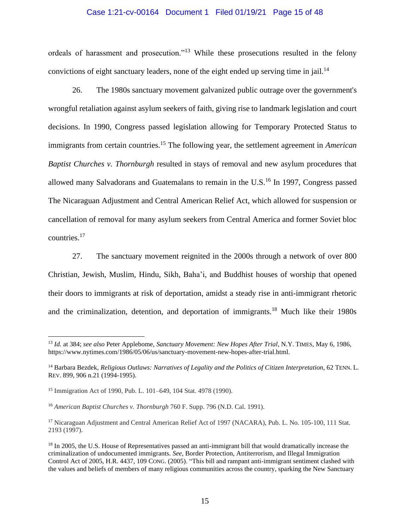## Case 1:21-cv-00164 Document 1 Filed 01/19/21 Page 15 of 48

ordeals of harassment and prosecution."<sup>13</sup> While these prosecutions resulted in the felony convictions of eight sanctuary leaders, none of the eight ended up serving time in jail.<sup>14</sup>

26. The 1980s sanctuary movement galvanized public outrage over the government's wrongful retaliation against asylum seekers of faith, giving rise to landmark legislation and court decisions. In 1990, Congress passed legislation allowing for Temporary Protected Status to immigrants from certain countries.<sup>15</sup> The following year, the settlement agreement in *American Baptist Churches v. Thornburgh* resulted in stays of removal and new asylum procedures that allowed many Salvadorans and Guatemalans to remain in the U.S.<sup>16</sup> In 1997, Congress passed The Nicaraguan Adjustment and Central American Relief Act, which allowed for suspension or cancellation of removal for many asylum seekers from Central America and former Soviet bloc countries.<sup>17</sup>

27. The sanctuary movement reignited in the 2000s through a network of over 800 Christian, Jewish, Muslim, Hindu, Sikh, Baha'i, and Buddhist houses of worship that opened their doors to immigrants at risk of deportation, amidst a steady rise in anti-immigrant rhetoric and the criminalization, detention, and deportation of immigrants.<sup>18</sup> Much like their 1980s

<sup>13</sup> *Id.* at 384; *see also* Peter Applebome, *Sanctuary Movement: New Hopes After Trial*, N.Y. TIMES, May 6, 1986, https://www.nytimes.com/1986/05/06/us/sanctuary-movement-new-hopes-after-trial.html.

<sup>&</sup>lt;sup>14</sup> Barbara Bezdek, *Religious Outlaws: Narratives of Legality and the Politics of Citizen Interpretation*, 62 TENN. L. REV. 899, 906 n.21 (1994-1995).

<sup>15</sup> Immigration Act of 1990, Pub. L. 101–649, 104 Stat. 4978 (1990).

<sup>16</sup> *American Baptist Churches v. Thornburgh* 760 F. Supp. 796 (N.D. Cal. 1991).

<sup>&</sup>lt;sup>17</sup> Nicaraguan Adjustment and Central American Relief Act of 1997 (NACARA), Pub. L. No. 105-100, 111 Stat. 2193 (1997).

<sup>&</sup>lt;sup>18</sup> In 2005, the U.S. House of Representatives passed an anti-immigrant bill that would dramatically increase the criminalization of undocumented immigrants. *See,* Border Protection, Antiterrorism, and Illegal Immigration Control Act of 2005, H.R. 4437, 109 CONG. (2005). "This bill and rampant anti-immigrant sentiment clashed with the values and beliefs of members of many religious communities across the country, sparking the New Sanctuary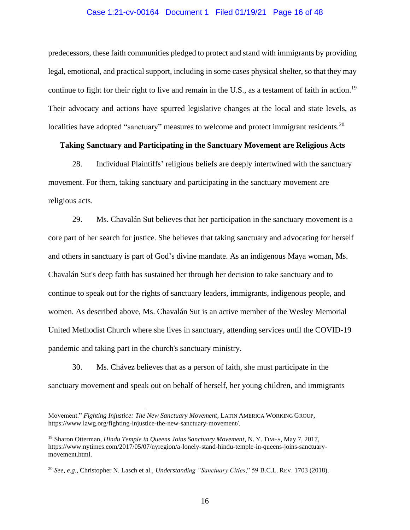#### Case 1:21-cv-00164 Document 1 Filed 01/19/21 Page 16 of 48

predecessors, these faith communities pledged to protect and stand with immigrants by providing legal, emotional, and practical support, including in some cases physical shelter, so that they may continue to fight for their right to live and remain in the U.S., as a testament of faith in action.<sup>19</sup> Their advocacy and actions have spurred legislative changes at the local and state levels, as localities have adopted "sanctuary" measures to welcome and protect immigrant residents.<sup>20</sup>

## **Taking Sanctuary and Participating in the Sanctuary Movement are Religious Acts**

28. Individual Plaintiffs' religious beliefs are deeply intertwined with the sanctuary movement. For them, taking sanctuary and participating in the sanctuary movement are religious acts.

29. Ms. Chavalán Sut believes that her participation in the sanctuary movement is a core part of her search for justice. She believes that taking sanctuary and advocating for herself and others in sanctuary is part of God's divine mandate. As an indigenous Maya woman, Ms. Chavalán Sut's deep faith has sustained her through her decision to take sanctuary and to continue to speak out for the rights of sanctuary leaders, immigrants, indigenous people, and women. As described above, Ms. Chavalán Sut is an active member of the Wesley Memorial United Methodist Church where she lives in sanctuary, attending services until the COVID-19 pandemic and taking part in the church's sanctuary ministry.

30. Ms. Chávez believes that as a person of faith, she must participate in the sanctuary movement and speak out on behalf of herself, her young children, and immigrants

Movement." *Fighting Injustice: The New Sanctuary Movement*, LATIN AMERICA WORKING GROUP, https://www.lawg.org/fighting-injustice-the-new-sanctuary-movement/.

<sup>19</sup> Sharon Otterman, *Hindu Temple in Queens Joins Sanctuary Movement*, N. Y. TIMES, May 7, 2017, https://www.nytimes.com/2017/05/07/nyregion/a-lonely-stand-hindu-temple-in-queens-joins-sanctuarymovement.html.

<sup>20</sup> *See, e.g*., Christopher N. Lasch et al., *Understanding "Sanctuary Cities*," 59 B.C.L. REV. 1703 (2018).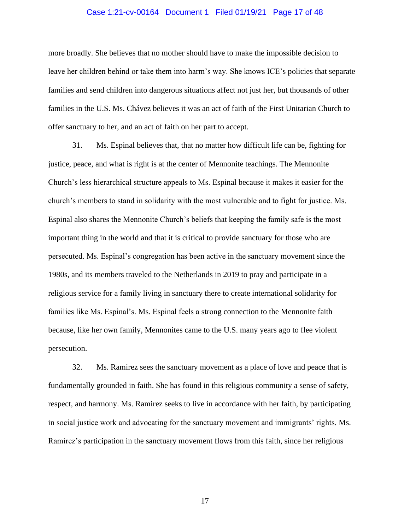#### Case 1:21-cv-00164 Document 1 Filed 01/19/21 Page 17 of 48

more broadly. She believes that no mother should have to make the impossible decision to leave her children behind or take them into harm's way. She knows ICE's policies that separate families and send children into dangerous situations affect not just her, but thousands of other families in the U.S. Ms. Chávez believes it was an act of faith of the First Unitarian Church to offer sanctuary to her, and an act of faith on her part to accept.

31. Ms. Espinal believes that, that no matter how difficult life can be, fighting for justice, peace, and what is right is at the center of Mennonite teachings. The Mennonite Church's less hierarchical structure appeals to Ms. Espinal because it makes it easier for the church's members to stand in solidarity with the most vulnerable and to fight for justice. Ms. Espinal also shares the Mennonite Church's beliefs that keeping the family safe is the most important thing in the world and that it is critical to provide sanctuary for those who are persecuted. Ms. Espinal's congregation has been active in the sanctuary movement since the 1980s, and its members traveled to the Netherlands in 2019 to pray and participate in a religious service for a family living in sanctuary there to create international solidarity for families like Ms. Espinal's. Ms. Espinal feels a strong connection to the Mennonite faith because, like her own family, Mennonites came to the U.S. many years ago to flee violent persecution.

32. Ms. Ramirez sees the sanctuary movement as a place of love and peace that is fundamentally grounded in faith. She has found in this religious community a sense of safety, respect, and harmony. Ms. Ramirez seeks to live in accordance with her faith, by participating in social justice work and advocating for the sanctuary movement and immigrants' rights. Ms. Ramirez's participation in the sanctuary movement flows from this faith, since her religious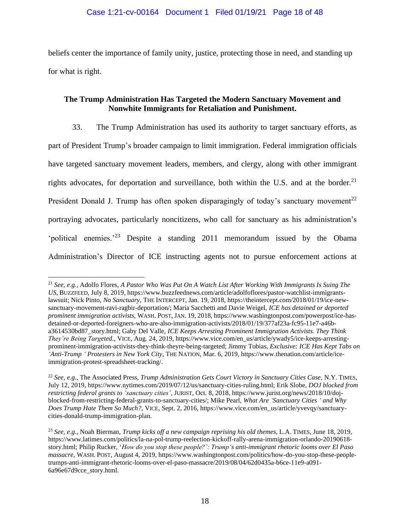beliefs center the importance of family unity, justice, protecting those in need, and standing up for what is right.

## **The Trump Administration Has Targeted the Modern Sanctuary Movement and Nonwhite Immigrants for Retaliation and Punishment.**

33. The Trump Administration has used its authority to target sanctuary efforts, as part of President Trump's broader campaign to limit immigration. Federal immigration officials have targeted sanctuary movement leaders, members, and clergy, along with other immigrant rights advocates, for deportation and surveillance, both within the U.S. and at the border. $21$ President Donald J. Trump has often spoken disparagingly of today's sanctuary movement<sup>22</sup> portraying advocates, particularly noncitizens, who call for sanctuary as his administration's 'political enemies.'<sup>23</sup> Despite a standing 2011 memorandum issued by the Obama Administration's Director of ICE instructing agents not to pursue enforcement actions at

<sup>21</sup> *See, e.g.,* Adolfo Flores, *A Pastor Who Was Put On A Watch List After Working With Immigrants Is Suing The US*, BUZZFEED, July 8, 2019, https://www.buzzfeednews.com/article/adolfoflores/pastor-watchlist-immigrantslawsuit; Nick Pinto, *No Sanctuary*, THE INTERCEPT, Jan. 19, 2018, https://theintercept.com/2018/01/19/ice-newsanctuary-movement-ravi-ragbir-deportation/; Maria Sacchetti and Davie Weigel, *ICE has detained or deported prominent immigration activists*, WASH. POST, JAN. 19, 2018, https://www.washingtonpost.com/powerpost/ice-hasdetained-or-deported-foreigners-who-are-also-immigration-activists/2018/01/19/377af23a-fc95-11e7-a46ba3614530bd87\_story.html; Gaby Del Valle, *ICE Keeps Arresting Prominent Immigration Activists. They Think They're Being Targeted.*, VICE, Aug. 24, 2019, https://www.vice.com/en\_us/article/ywady5/ice-keeps-arrestingprominent-immigration-activists-they-think-theyre-being-targeted; Jimmy Tobias, *Exclusive: ICE Has Kept Tabs on 'Anti-Trump ' Protesters in New York City*, THE NATION, Mar. 6, 2019, https://www.thenation.com/article/iceimmigration-protest-spreadsheet-tracking/.

<sup>22</sup> *See, e.g.,* The Associated Press, *Trump Administration Gets Court Victory in Sanctuary Cities Case*, N.Y. TIMES, July 12, 2019, https://www.nytimes.com/2019/07/12/us/sanctuary-cities-ruling.html; Erik Slobe, *DOJ blocked from restricting federal grants to 'sanctuary cities'*, JURIST, Oct. 8, 2018, https://www.jurist.org/news/2018/10/dojblocked-from-restricting-federal-grants-to-sanctuary-cities/; Mike Pearl, *What Are 'Sanctuary Cities ' and Why Does Trump Hate Them So Much?*, VICE, Sept. 2, 2016, https://www.vice.com/en\_us/article/yvevqy/sanctuarycities-donald-trump-immigration-plan.

<sup>23</sup> *See, e.g.,* Noah Bierman, *Trump kicks off a new campaign reprising his old themes,* L.A. TIMES, June 18, 2019, https://www.latimes.com/politics/la-na-pol-trump-reelection-kickoff-rally-arena-immigration-orlando-20190618 story.html; Philip Rucker, '*How do you stop these people?': Trump's anti-immigrant rhetoric looms over El Paso massacre,* WASH. POST, August 4, 2019, https://www.washingtonpost.com/politics/how-do-you-stop-these-peopletrumps-anti-immigrant-rhetoric-looms-over-el-paso-massacre/2019/08/04/62d0435a-b6ce-11e9-a091- 6a96e67d9cce\_story.html.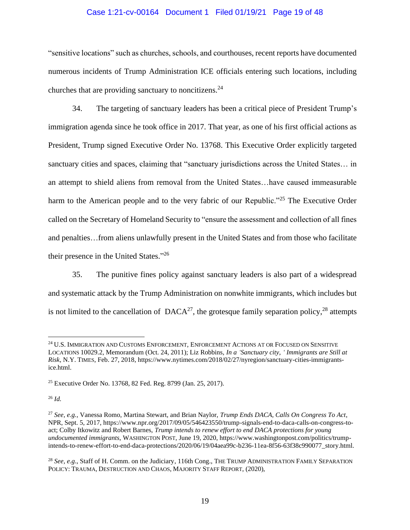#### Case 1:21-cv-00164 Document 1 Filed 01/19/21 Page 19 of 48

"sensitive locations" such as churches, schools, and courthouses, recent reports have documented numerous incidents of Trump Administration ICE officials entering such locations, including churches that are providing sanctuary to noncitizens.<sup>24</sup>

34. The targeting of sanctuary leaders has been a critical piece of President Trump's immigration agenda since he took office in 2017. That year, as one of his first official actions as President, Trump signed Executive Order No. 13768. This Executive Order explicitly targeted sanctuary cities and spaces, claiming that "sanctuary jurisdictions across the United States… in an attempt to shield aliens from removal from the United States…have caused immeasurable harm to the American people and to the very fabric of our Republic."<sup>25</sup> The Executive Order called on the Secretary of Homeland Security to "ensure the assessment and collection of all fines and penalties…from aliens unlawfully present in the United States and from those who facilitate their presence in the United States."26

35. The punitive fines policy against sanctuary leaders is also part of a widespread and systematic attack by the Trump Administration on nonwhite immigrants, which includes but is not limited to the cancellation of  $DACA^{27}$ , the grotesque family separation policy,<sup>28</sup> attempts

<sup>&</sup>lt;sup>24</sup> U.S. IMMIGRATION AND CUSTOMS ENFORCEMENT, ENFORCEMENT ACTIONS AT OR FOCUSED ON SENSITIVE LOCATIONS 10029.2, Memorandum (Oct. 24, 2011); Liz Robbins, *In a 'Sanctuary city, ' Immigrants are Still at Risk,* N.Y. TIMES, Feb. 27, 2018, https://www.nytimes.com/2018/02/27/nyregion/sanctuary-cities-immigrantsice.html.

<sup>25</sup> Executive Order No. 13768, 82 Fed. Reg. 8799 (Jan. 25, 2017).

<sup>26</sup> *Id.*

<sup>27</sup> *See, e.g.,* Vanessa Romo, Martina Stewart, and Brian Naylor, *Trump Ends DACA, Calls On Congress To Act*, NPR, Sept. 5, 2017, https://www.npr.org/2017/09/05/546423550/trump-signals-end-to-daca-calls-on-congress-toact; Colby Itkowitz and Robert Barnes, *Trump intends to renew effort to end DACA protections for young undocumented immigrants*, WASHINGTON POST, June 19, 2020, https://www.washingtonpost.com/politics/trumpintends-to-renew-effort-to-end-daca-protections/2020/06/19/04aea99c-b236-11ea-8f56-63f38c990077\_story.html.

<sup>28</sup> *See, e.g*., Staff of H. Comm. on the Judiciary, 116th Cong., THE TRUMP ADMINISTRATION FAMILY SEPARATION POLICY: TRAUMA, DESTRUCTION AND CHAOS, MAJORITY STAFF REPORT, (2020),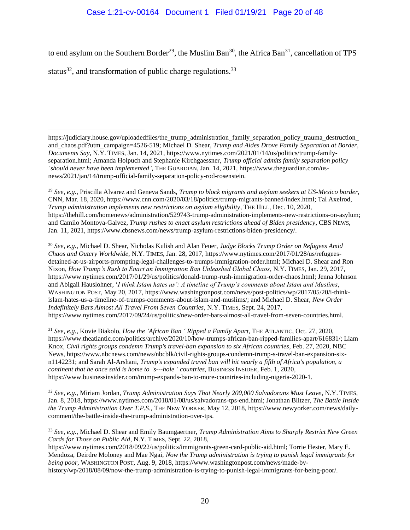## Case 1:21-cv-00164 Document 1 Filed 01/19/21 Page 20 of 48

to end asylum on the Southern Border<sup>29</sup>, the Muslim Ban<sup>30</sup>, the Africa Ban<sup>31</sup>, cancellation of TPS

status $^{32}$ , and transformation of public charge regulations.<sup>33</sup>

<sup>29</sup> *See, e.g.,* Priscilla Alvarez and Geneva Sands, *Trump to block migrants and asylum seekers at US-Mexico border*, CNN, Mar. 18, 2020, https://www.cnn.com/2020/03/18/politics/trump-migrants-banned/index.html; Tal Axelrod, *Trump administration implements new restrictions on asylum eligibility*, THE HILL, Dec. 10, 2020, https://thehill.com/homenews/administration/529743-trump-administration-implements-new-restrictions-on-asylum; and Camilo Montoya-Galvez, *Trump rushes to enact asylum restrictions ahead of Biden presidency*, CBS NEWS, Jan. 11, 2021, https://www.cbsnews.com/news/trump-asylum-restrictions-biden-presidency/.

<sup>30</sup> *See, e.g.,* Michael D. Shear, Nicholas Kulish and Alan Feuer, *Judge Blocks Trump Order on Refugees Amid Chaos and Outcry Worldwide*, N.Y. TIMES, Jan. 28, 2017, https://www.nytimes.com/2017/01/28/us/refugeesdetained-at-us-airports-prompting-legal-challenges-to-trumps-immigration-order.html; Michael D. Shear and Ron Nixon, *How Trump's Rush to Enact an Immigration Ban Unleashed Global Chaos*, N.Y. TIMES, Jan. 29, 2017, https://www.nytimes.com/2017/01/29/us/politics/donald-trump-rush-immigration-order-chaos.html; Jenna Johnson and Abigail Hauslohner, '*I think Islam hates us': A timeline of Trump's comments about Islam and Muslims*, WASHINGTON POST, May 20, 2017, https://www.washingtonpost.com/news/post-politics/wp/2017/05/20/i-thinkislam-hates-us-a-timeline-of-trumps-comments-about-islam-and-muslims/; and Michael D. Shear, *New Order Indefinitely Bars Almost All Travel From Seven Countries*, N.Y. TIMES, Sept. 24, 2017, https://www.nytimes.com/2017/09/24/us/politics/new-order-bars-almost-all-travel-from-seven-countries.html.

<sup>31</sup> *See, e.g.,* Kovie Biakolo, *How the 'African Ban ' Ripped a Family Apart*, THE ATLANTIC, Oct. 27, 2020, https://www.theatlantic.com/politics/archive/2020/10/how-trumps-african-ban-ripped-families-apart/616831/; Liam Knox, *Civil rights groups condemn Trump's travel-ban expansion to six African countries*, Feb. 27, 2020, NBC News, https://www.nbcnews.com/news/nbcblk/civil-rights-groups-condemn-trump-s-travel-ban-expansion-sixn1142231; and Sarah Al-Arshani, *Trump's expanded travel ban will hit nearly a fifth of Africa's population, a continent that he once said is home to 's---hole ' countries*, BUSINESS INSIDER, Feb. 1, 2020, https://www.businessinsider.com/trump-expands-ban-to-more-countries-including-nigeria-2020-1.

<sup>32</sup> *See, e.g.,* Miriam Jordan, *Trump Administration Says That Nearly 200,000 Salvadorans Must Leave*, N.Y. TIMES, Jan. 8, 2018, https://www.nytimes.com/2018/01/08/us/salvadorans-tps-end.html; Jonathan Blitzer, *The Battle Inside the Trump Administration Over T.P.S*., THE NEW YORKER, May 12, 2018, https://www.newyorker.com/news/dailycomment/the-battle-inside-the-trump-administration-over-tps.

<sup>33</sup> *See, e.g.,* Michael D. Shear and Emily Baumgaertner, *Trump Administration Aims to Sharply Restrict New Green Cards for Those on Public Aid*, N.Y. TIMES, Sept. 22, 2018, https://www.nytimes.com/2018/09/22/us/politics/immigrants-green-card-public-aid.html; Torrie Hester, Mary E. Mendoza, Deirdre Moloney and Mae Ngai, *Now the Trump administration is trying to punish legal immigrants for being poor*, WASHINGTON POST, Aug. 9, 2018, https://www.washingtonpost.com/news/made-by-

history/wp/2018/08/09/now-the-trump-administration-is-trying-to-punish-legal-immigrants-for-being-poor/.

https://judiciary.house.gov/uploadedfiles/the\_trump\_administration\_family\_separation\_policy\_trauma\_destruction and chaos.pdf?utm\_campaign=4526-519; Michael D. Shear, *Trump and Aides Drove Family Separation at Border*, *Documents Say*, N.Y. TIMES, Jan. 14, 2021, https://www.nytimes.com/2021/01/14/us/politics/trump-familyseparation.html; Amanda Holpuch and Stephanie Kirchgaessner, *Trump official admits family separation policy 'should never have been implemented'*, THE GUARDIAN, Jan. 14, 2021, https://www.theguardian.com/usnews/2021/jan/14/trump-official-family-separation-policy-rod-rosenstein.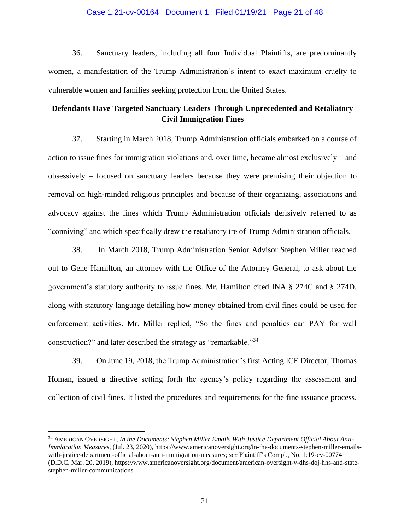#### Case 1:21-cv-00164 Document 1 Filed 01/19/21 Page 21 of 48

36. Sanctuary leaders, including all four Individual Plaintiffs, are predominantly women, a manifestation of the Trump Administration's intent to exact maximum cruelty to vulnerable women and families seeking protection from the United States.

## **Defendants Have Targeted Sanctuary Leaders Through Unprecedented and Retaliatory Civil Immigration Fines**

37. Starting in March 2018, Trump Administration officials embarked on a course of action to issue fines for immigration violations and, over time, became almost exclusively – and obsessively – focused on sanctuary leaders because they were premising their objection to removal on high-minded religious principles and because of their organizing, associations and advocacy against the fines which Trump Administration officials derisively referred to as "conniving" and which specifically drew the retaliatory ire of Trump Administration officials.

38. In March 2018, Trump Administration Senior Advisor Stephen Miller reached out to Gene Hamilton, an attorney with the Office of the Attorney General, to ask about the government's statutory authority to issue fines. Mr. Hamilton cited INA § 274C and § 274D, along with statutory language detailing how money obtained from civil fines could be used for enforcement activities. Mr. Miller replied, "So the fines and penalties can PAY for wall construction?" and later described the strategy as "remarkable."<sup>34</sup>

39. On June 19, 2018, the Trump Administration's first Acting ICE Director, Thomas Homan, issued a directive setting forth the agency's policy regarding the assessment and collection of civil fines. It listed the procedures and requirements for the fine issuance process.

<sup>34</sup> AMERICAN OVERSIGHT, *In the Documents: Stephen Miller Emails With Justice Department Official About Anti-Immigration Measures*, (Jul. 23, 2020), https://www.americanoversight.org/in-the-documents-stephen-miller-emailswith-justice-department-official-about-anti-immigration-measures; *see* Plaintiff's Compl., No. 1:19-cv-00774 (D.D.C. Mar. 20, 2019), https://www.americanoversight.org/document/american-oversight-v-dhs-doj-hhs-and-statestephen-miller-communications.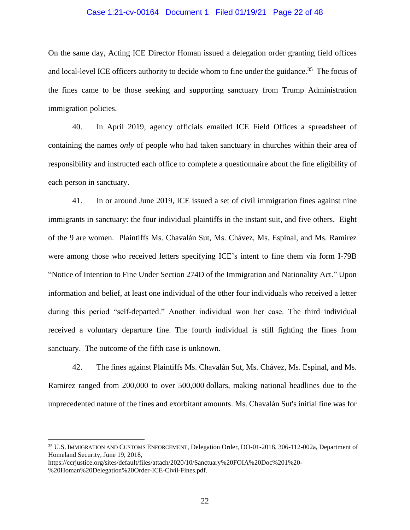#### Case 1:21-cv-00164 Document 1 Filed 01/19/21 Page 22 of 48

On the same day, Acting ICE Director Homan issued a delegation order granting field offices and local-level ICE officers authority to decide whom to fine under the guidance.<sup>35</sup> The focus of the fines came to be those seeking and supporting sanctuary from Trump Administration immigration policies.

40. In April 2019, agency officials emailed ICE Field Offices a spreadsheet of containing the names *only* of people who had taken sanctuary in churches within their area of responsibility and instructed each office to complete a questionnaire about the fine eligibility of each person in sanctuary.

41. In or around June 2019, ICE issued a set of civil immigration fines against nine immigrants in sanctuary: the four individual plaintiffs in the instant suit, and five others. Eight of the 9 are women. Plaintiffs Ms. Chavalán Sut, Ms. Chávez, Ms. Espinal, and Ms. Ramirez were among those who received letters specifying ICE's intent to fine them via form I-79B "Notice of Intention to Fine Under Section 274D of the Immigration and Nationality Act." Upon information and belief, at least one individual of the other four individuals who received a letter during this period "self-departed." Another individual won her case. The third individual received a voluntary departure fine. The fourth individual is still fighting the fines from sanctuary. The outcome of the fifth case is unknown.

42. The fines against Plaintiffs Ms. Chavalán Sut, Ms. Chávez, Ms. Espinal, and Ms. Ramirez ranged from 200,000 to over 500,000 dollars, making national headlines due to the unprecedented nature of the fines and exorbitant amounts. Ms. Chavalán Sut's initial fine was for

<sup>35</sup> U.S. IMMIGRATION AND CUSTOMS ENFORCEMENT, Delegation Order, DO-01-2018, 306-112-002a, Department of Homeland Security, June 19, 2018,

https://ccrjustice.org/sites/default/files/attach/2020/10/Sanctuary%20FOIA%20Doc%201%20- %20Homan%20Delegation%20Order-ICE-Civil-Fines.pdf.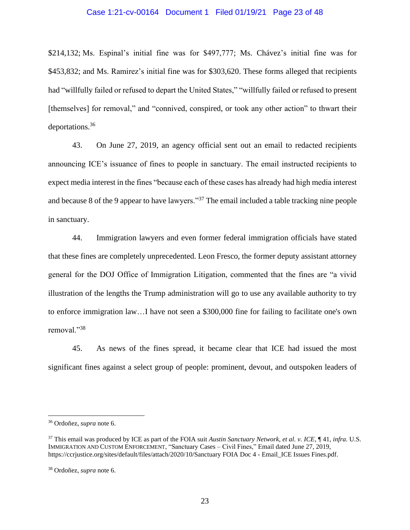#### Case 1:21-cv-00164 Document 1 Filed 01/19/21 Page 23 of 48

\$214,132; Ms. Espinal's initial fine was for \$497,777; Ms. Chávez's initial fine was for \$453,832; and Ms. Ramirez's initial fine was for \$303,620. These forms alleged that recipients had "willfully failed or refused to depart the United States," "willfully failed or refused to present [themselves] for removal," and "connived, conspired, or took any other action" to thwart their deportations.<sup>36</sup>

43. On June 27, 2019, an agency official sent out an email to redacted recipients announcing ICE's issuance of fines to people in sanctuary. The email instructed recipients to expect media interest in the fines "because each of these cases has already had high media interest and because 8 of the 9 appear to have lawyers."<sup>37</sup> The email included a table tracking nine people in sanctuary.

44. Immigration lawyers and even former federal immigration officials have stated that these fines are completely unprecedented. Leon Fresco, the former deputy assistant attorney general for the DOJ Office of Immigration Litigation, commented that the fines are "a vivid illustration of the lengths the Trump administration will go to use any available authority to try to enforce immigration law…I have not seen a \$300,000 fine for failing to facilitate one's own removal."<sup>38</sup>

45. As news of the fines spread, it became clear that ICE had issued the most significant fines against a select group of people: prominent, devout, and outspoken leaders of

<sup>36</sup> Ordoñez, *supra* note 6.

<sup>37</sup> This email was produced by ICE as part of the FOIA suit *Austin Sanctuary Network, et al. v. ICE*, ¶ 41, *infra.* U.S. IMMIGRATION AND CUSTOM ENFORCEMENT, "Sanctuary Cases – Civil Fines," Email dated June 27, 2019, https://ccrjustice.org/sites/default/files/attach/2020/10/Sanctuary FOIA Doc 4 - Email ICE Issues Fines.pdf.

<sup>38</sup> Ordoñez, *supra* note 6.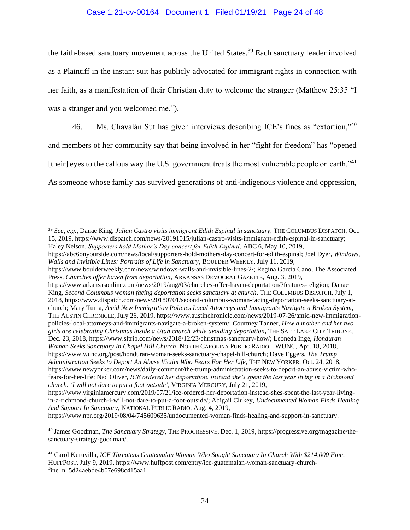## Case 1:21-cv-00164 Document 1 Filed 01/19/21 Page 24 of 48

the faith-based sanctuary movement across the United States.<sup>39</sup> Each sanctuary leader involved as a Plaintiff in the instant suit has publicly advocated for immigrant rights in connection with her faith, as a manifestation of their Christian duty to welcome the stranger (Matthew 25:35 "I was a stranger and you welcomed me.").

46. Ms. Chavalán Sut has given interviews describing ICE's fines as "extortion,"<sup>40</sup> and members of her community say that being involved in her "fight for freedom" has "opened [their] eyes to the callous way the U.S. government treats the most vulnerable people on earth."<sup>41</sup>

As someone whose family has survived generations of anti-indigenous violence and oppression,

https://abc6onyourside.com/news/local/supporters-hold-mothers-day-concert-for-edith-espinal; Joel Dyer, *Windows, Walls and Invisible Lines: Portraits of Life in Sanctuary*, BOULDER WEEKLY, July 11, 2019,

https://www.npr.org/2019/08/04/745609635/undocumented-woman-finds-healing-and-support-in-sanctuary.

<sup>39</sup> *See, e.g.,* Danae King, *Julian Castro visits immigrant Edith Espinal in sanctuary*, THE COLUMBUS DISPATCH, Oct. 15, 2019, https://www.dispatch.com/news/20191015/julian-castro-visits-immigrant-edith-espinal-in-sanctuary; Haley Nelson, *Supporters hold Mother's Day concert for Edith Espinal*, ABC 6, May 10, 2019,

https://www.boulderweekly.com/news/windows-walls-and-invisible-lines-2/; Regina Garcia Cano, The Associated Press, *Churches offer haven from deportation*, ARKANSAS DEMOCRAT GAZETTE, Aug. 3, 2019,

https://www.arkansasonline.com/news/2019/aug/03/churches-offer-haven-deportation/?features-religion; Danae King, *Second Columbus woman facing deportation seeks sanctuary at church*, THE COLUMBUS DISPATCH, July 1, 2018, https://www.dispatch.com/news/20180701/second-columbus-woman-facing-deportation-seeks-sanctuary-atchurch; Mary Tuma, *Amid New Immigration Policies Local Attorneys and Immigrants Navigate a Broken System*, THE AUSTIN CHRONICLE, July 26, 2019, https://www.austinchronicle.com/news/2019-07-26/amid-new-immigrationpolicies-local-attorneys-and-immigrants-navigate-a-broken-system/; Courtney Tanner, *How a mother and her two girls are celebrating Christmas inside a Utah church while avoiding deportation*, THE SALT LAKE CITY TRIBUNE, Dec. 23, 2018, https://www.sltrib.com/news/2018/12/23/christmas-sanctuary-how/; Leoneda Inge, *Honduran Woman Seeks Sanctuary In Chapel Hill Church*, NORTH CAROLINA PUBLIC RADIO – WUNC, Apr. 18, 2018, https://www.wunc.org/post/honduran-woman-seeks-sanctuary-chapel-hill-church; Dave Eggers, *The Trump Administration Seeks to Deport An Abuse Victim Who Fears For Her Life*, THE NEW YORKER, Oct. 24, 2018, https://www.newyorker.com/news/daily-comment/the-trump-administration-seeks-to-deport-an-abuse-victim-whofears-for-her-life; Ned Oliver, *ICE ordered her deportation. Instead she's spent the last year living in a Richmond church. 'I will not dare to put a foot outside',* VIRGINIA MERCURY, July 21, 2019,

https://www.virginiamercury.com/2019/07/21/ice-ordered-her-deportation-instead-shes-spent-the-last-year-livingin-a-richmond-church-i-will-not-dare-to-put-a-foot-outside/; Abigail Clukey, *Undocumented Woman Finds Healing And Support In Sanctuary*, NATIONAL PUBLIC RADIO, Aug. 4, 2019,

<sup>40</sup> James Goodman, *The Sanctuary Strategy*, THE PROGRESSIVE, Dec. 1, 2019, https://progressive.org/magazine/thesanctuary-strategy-goodman/.

<sup>41</sup> Carol Kuruvilla, *ICE Threatens Guatemalan Woman Who Sought Sanctuary In Church With \$214,000 Fine*, HUFFPOST, July 9, 2019, https://www.huffpost.com/entry/ice-guatemalan-woman-sanctuary-churchfine\_n\_5d24aebde4b07e698c415aa1.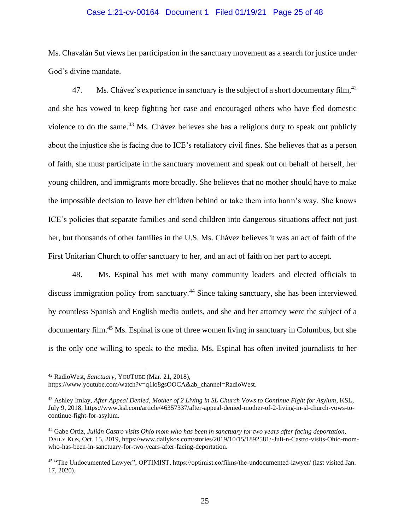#### Case 1:21-cv-00164 Document 1 Filed 01/19/21 Page 25 of 48

Ms. Chavalán Sut views her participation in the sanctuary movement as a search for justice under God's divine mandate.

47. Ms. Chávez's experience in sanctuary is the subject of a short documentary film,  $42$ and she has vowed to keep fighting her case and encouraged others who have fled domestic violence to do the same.<sup>43</sup> Ms. Chávez believes she has a religious duty to speak out publicly about the injustice she is facing due to ICE's retaliatory civil fines. She believes that as a person of faith, she must participate in the sanctuary movement and speak out on behalf of herself, her young children, and immigrants more broadly. She believes that no mother should have to make the impossible decision to leave her children behind or take them into harm's way. She knows ICE's policies that separate families and send children into dangerous situations affect not just her, but thousands of other families in the U.S. Ms. Chávez believes it was an act of faith of the First Unitarian Church to offer sanctuary to her, and an act of faith on her part to accept.

48. Ms. Espinal has met with many community leaders and elected officials to discuss immigration policy from sanctuary.<sup>44</sup> Since taking sanctuary, she has been interviewed by countless Spanish and English media outlets, and she and her attorney were the subject of a documentary film.<sup>45</sup> Ms. Espinal is one of three women living in sanctuary in Columbus, but she is the only one willing to speak to the media. Ms. Espinal has often invited journalists to her

<sup>42</sup> RadioWest, *Sanctuary*, YOUTUBE (Mar. 21, 2018),

https://www.youtube.com/watch?v=q1lo8gsOOCA&ab\_channel=RadioWest.

<sup>43</sup> Ashley Imlay, *After Appeal Denied, Mother of 2 Living in SL Church Vows to Continue Fight for Asylum*, KSL, July 9, 2018, https://www.ksl.com/article/46357337/after-appeal-denied-mother-of-2-living-in-sl-church-vows-tocontinue-fight-for-asylum.

<sup>44</sup> Gabe Ortiz, *Julián Castro visits Ohio mom who has been in sanctuary for two years after facing deportation,*  DAILY KOS, Oct. 15, 2019, https://www.dailykos.com/stories/2019/10/15/1892581/-Juli-n-Castro-visits-Ohio-momwho-has-been-in-sanctuary-for-two-years-after-facing-deportation.

<sup>45</sup> "The Undocumented Lawyer", OPTIMIST, https://optimist.co/films/the-undocumented-lawyer/ (last visited Jan. 17, 2020).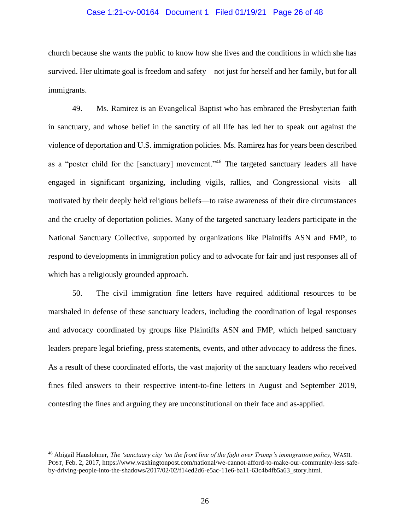#### Case 1:21-cv-00164 Document 1 Filed 01/19/21 Page 26 of 48

church because she wants the public to know how she lives and the conditions in which she has survived. Her ultimate goal is freedom and safety – not just for herself and her family, but for all immigrants.

49. Ms. Ramirez is an Evangelical Baptist who has embraced the Presbyterian faith in sanctuary, and whose belief in the sanctity of all life has led her to speak out against the violence of deportation and U.S. immigration policies. Ms. Ramirez has for years been described as a "poster child for the [sanctuary] movement."<sup>46</sup> The targeted sanctuary leaders all have engaged in significant organizing, including vigils, rallies, and Congressional visits—all motivated by their deeply held religious beliefs—to raise awareness of their dire circumstances and the cruelty of deportation policies. Many of the targeted sanctuary leaders participate in the National Sanctuary Collective, supported by organizations like Plaintiffs ASN and FMP, to respond to developments in immigration policy and to advocate for fair and just responses all of which has a religiously grounded approach.

50. The civil immigration fine letters have required additional resources to be marshaled in defense of these sanctuary leaders, including the coordination of legal responses and advocacy coordinated by groups like Plaintiffs ASN and FMP, which helped sanctuary leaders prepare legal briefing, press statements, events, and other advocacy to address the fines. As a result of these coordinated efforts, the vast majority of the sanctuary leaders who received fines filed answers to their respective intent-to-fine letters in August and September 2019, contesting the fines and arguing they are unconstitutional on their face and as-applied.

<sup>46</sup> Abigail Hauslohner, *The 'sanctuary city 'on the front line of the fight over Trump's immigration policy,* WASH. POST, Feb. 2, 2017, https://www.washingtonpost.com/national/we-cannot-afford-to-make-our-community-less-safeby-driving-people-into-the-shadows/2017/02/02/f14ed2d6-e5ac-11e6-ba11-63c4b4fb5a63\_story.html.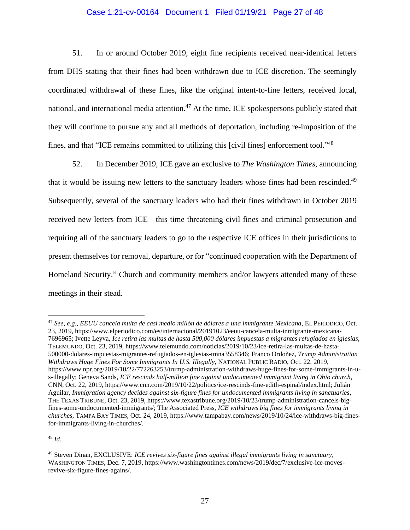### Case 1:21-cv-00164 Document 1 Filed 01/19/21 Page 27 of 48

51. In or around October 2019, eight fine recipients received near-identical letters from DHS stating that their fines had been withdrawn due to ICE discretion. The seemingly coordinated withdrawal of these fines, like the original intent-to-fine letters, received local, national, and international media attention.<sup>47</sup> At the time, ICE spokespersons publicly stated that they will continue to pursue any and all methods of deportation, including re-imposition of the fines, and that "ICE remains committed to utilizing this [civil fines] enforcement tool."<sup>48</sup>

52. In December 2019, ICE gave an exclusive to *The Washington Times*, announcing that it would be issuing new letters to the sanctuary leaders whose fines had been rescinded.<sup>49</sup> Subsequently, several of the sanctuary leaders who had their fines withdrawn in October 2019 received new letters from ICE—this time threatening civil fines and criminal prosecution and requiring all of the sanctuary leaders to go to the respective ICE offices in their jurisdictions to present themselves for removal, departure, or for "continued cooperation with the Department of Homeland Security." Church and community members and/or lawyers attended many of these meetings in their stead.

<sup>48</sup> *Id*.

<sup>47</sup> *See, e.g., EEUU cancela multa de casi medio millón de dólares a una immigrante Mexicana*, EL PERIODICO, Oct. 23, 2019, https://www.elperiodico.com/es/internacional/20191023/eeuu-cancela-multa-inmigrante-mexicana-7696965; Ivette Leyva, *Ice retira las multas de hasta 500,000 dólares impuestas a migrantes refugiados en iglesias*, TELEMUNDO, Oct. 23, 2019, https://www.telemundo.com/noticias/2019/10/23/ice-retira-las-multas-de-hasta-500000-dolares-impuestas-migrantes-refugiados-en-iglesias-tmna3558346; Franco Ordoñez, *Trump Administration Withdraws Huge Fines For Some Immigrants In U.S. Illegally*, NATIONAL PUBLIC RADIO, Oct. 22, 2019, https://www.npr.org/2019/10/22/772263253/trump-administration-withdraws-huge-fines-for-some-immigrants-in-us-illegally; Geneva Sands, *ICE rescinds half-million fine against undocumented immigrant living in Ohio church,*  CNN, Oct. 22, 2019, https://www.cnn.com/2019/10/22/politics/ice-rescinds-fine-edith-espinal/index.html; Julián Aguilar, *Immigration agency decides against six-figure fines for undocumented immigrants living in sanctuaries*, THE TEXAS TRIBUNE, Oct. 23, 2019, https://www.texastribune.org/2019/10/23/trump-administration-cancels-bigfines-some-undocumented-immigrants/; The Associated Press, *ICE withdraws big fines for immigrants living in churches*, TAMPA BAY TIMES, Oct. 24, 2019, https://www.tampabay.com/news/2019/10/24/ice-withdraws-big-finesfor-immigrants-living-in-churches/.

<sup>49</sup> Steven Dinan, EXCLUSIVE: *ICE revives six-figure fines against illegal immigrants living in sanctuary*, WASHINGTON TIMES, Dec. 7, 2019, https://www.washingtontimes.com/news/2019/dec/7/exclusive-ice-movesrevive-six-figure-fines-agains/.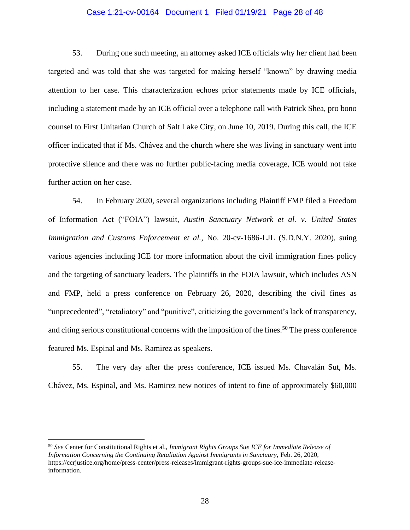#### Case 1:21-cv-00164 Document 1 Filed 01/19/21 Page 28 of 48

53. During one such meeting, an attorney asked ICE officials why her client had been targeted and was told that she was targeted for making herself "known" by drawing media attention to her case. This characterization echoes prior statements made by ICE officials, including a statement made by an ICE official over a telephone call with Patrick Shea, pro bono counsel to First Unitarian Church of Salt Lake City, on June 10, 2019. During this call, the ICE officer indicated that if Ms. Chávez and the church where she was living in sanctuary went into protective silence and there was no further public-facing media coverage, ICE would not take further action on her case.

54. In February 2020, several organizations including Plaintiff FMP filed a Freedom of Information Act ("FOIA") lawsuit, *Austin Sanctuary Network et al. v. United States Immigration and Customs Enforcement et al.*, No. 20-cv-1686-LJL (S.D.N.Y. 2020), suing various agencies including ICE for more information about the civil immigration fines policy and the targeting of sanctuary leaders. The plaintiffs in the FOIA lawsuit, which includes ASN and FMP, held a press conference on February 26, 2020, describing the civil fines as "unprecedented", "retaliatory" and "punitive", criticizing the government's lack of transparency, and citing serious constitutional concerns with the imposition of the fines.<sup>50</sup> The press conference featured Ms. Espinal and Ms. Ramirez as speakers.

55. The very day after the press conference, ICE issued Ms. Chavalán Sut, Ms. Chávez, Ms. Espinal, and Ms. Ramirez new notices of intent to fine of approximately \$60,000

<sup>50</sup> *See* Center for Constitutional Rights et al., *Immigrant Rights Groups Sue ICE for Immediate Release of Information Concerning the Continuing Retaliation Against Immigrants in Sanctuary, Feb. 26, 2020,* https://ccrjustice.org/home/press-center/press-releases/immigrant-rights-groups-sue-ice-immediate-releaseinformation.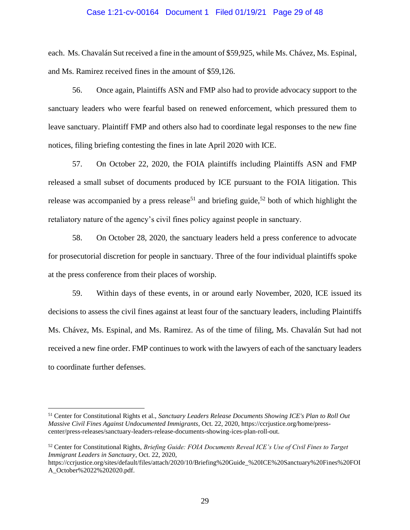#### Case 1:21-cv-00164 Document 1 Filed 01/19/21 Page 29 of 48

each. Ms. Chavalán Sut received a fine in the amount of \$59,925, while Ms. Chávez, Ms. Espinal, and Ms. Ramirez received fines in the amount of \$59,126.

56. Once again, Plaintiffs ASN and FMP also had to provide advocacy support to the sanctuary leaders who were fearful based on renewed enforcement, which pressured them to leave sanctuary. Plaintiff FMP and others also had to coordinate legal responses to the new fine notices, filing briefing contesting the fines in late April 2020 with ICE.

57. On October 22, 2020, the FOIA plaintiffs including Plaintiffs ASN and FMP released a small subset of documents produced by ICE pursuant to the FOIA litigation. This release was accompanied by a press release<sup>51</sup> and briefing guide,<sup>52</sup> both of which highlight the retaliatory nature of the agency's civil fines policy against people in sanctuary.

58. On October 28, 2020, the sanctuary leaders held a press conference to advocate for prosecutorial discretion for people in sanctuary. Three of the four individual plaintiffs spoke at the press conference from their places of worship.

59. Within days of these events, in or around early November, 2020, ICE issued its decisions to assess the civil fines against at least four of the sanctuary leaders, including Plaintiffs Ms. Chávez, Ms. Espinal, and Ms. Ramirez. As of the time of filing, Ms. Chavalán Sut had not received a new fine order. FMP continues to work with the lawyers of each of the sanctuary leaders to coordinate further defenses.

<sup>51</sup> Center for Constitutional Rights et al., *Sanctuary Leaders Release Documents Showing ICE's Plan to Roll Out Massive Civil Fines Against Undocumented Immigrants*, Oct. 22, 2020, https://ccrjustice.org/home/presscenter/press-releases/sanctuary-leaders-release-documents-showing-ices-plan-roll-out.

<sup>52</sup> Center for Constitutional Rights, *Briefing Guide: FOIA Documents Reveal ICE's Use of Civil Fines to Target Immigrant Leaders in Sanctuary*, Oct. 22, 2020,

https://ccrjustice.org/sites/default/files/attach/2020/10/Briefing%20Guide\_%20ICE%20Sanctuary%20Fines%20FOI A\_October%2022%202020.pdf.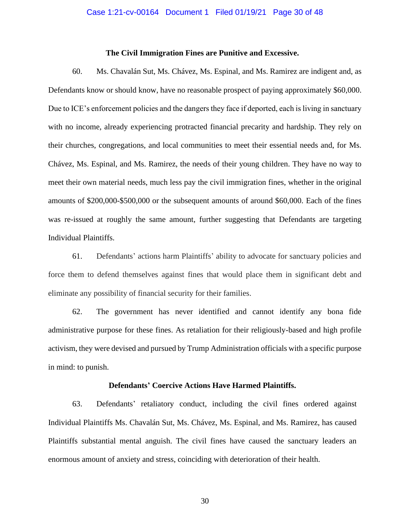#### **The Civil Immigration Fines are Punitive and Excessive.**

60. Ms. Chavalán Sut, Ms. Chávez, Ms. Espinal, and Ms. Ramirez are indigent and, as Defendants know or should know, have no reasonable prospect of paying approximately \$60,000. Due to ICE's enforcement policies and the dangers they face if deported, each is living in sanctuary with no income, already experiencing protracted financial precarity and hardship. They rely on their churches, congregations, and local communities to meet their essential needs and, for Ms. Chávez, Ms. Espinal, and Ms. Ramirez, the needs of their young children. They have no way to meet their own material needs, much less pay the civil immigration fines, whether in the original amounts of \$200,000-\$500,000 or the subsequent amounts of around \$60,000. Each of the fines was re-issued at roughly the same amount, further suggesting that Defendants are targeting Individual Plaintiffs.

61. Defendants' actions harm Plaintiffs' ability to advocate for sanctuary policies and force them to defend themselves against fines that would place them in significant debt and eliminate any possibility of financial security for their families.

62. The government has never identified and cannot identify any bona fide administrative purpose for these fines. As retaliation for their religiously-based and high profile activism, they were devised and pursued by Trump Administration officials with a specific purpose in mind: to punish.

#### **Defendants' Coercive Actions Have Harmed Plaintiffs.**

63. Defendants' retaliatory conduct, including the civil fines ordered against Individual Plaintiffs Ms. Chavalán Sut, Ms. Chávez, Ms. Espinal, and Ms. Ramirez, has caused Plaintiffs substantial mental anguish. The civil fines have caused the sanctuary leaders an enormous amount of anxiety and stress, coinciding with deterioration of their health.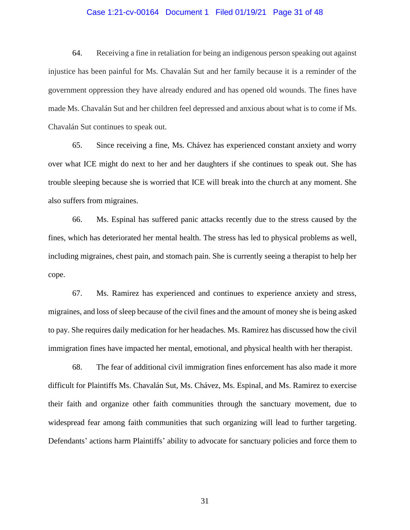#### Case 1:21-cv-00164 Document 1 Filed 01/19/21 Page 31 of 48

64. Receiving a fine in retaliation for being an indigenous person speaking out against injustice has been painful for Ms. Chavalán Sut and her family because it is a reminder of the government oppression they have already endured and has opened old wounds. The fines have made Ms. Chavalán Sut and her children feel depressed and anxious about what is to come if Ms. Chavalán Sut continues to speak out.

65. Since receiving a fine, Ms. Chávez has experienced constant anxiety and worry over what ICE might do next to her and her daughters if she continues to speak out. She has trouble sleeping because she is worried that ICE will break into the church at any moment. She also suffers from migraines.

66. Ms. Espinal has suffered panic attacks recently due to the stress caused by the fines, which has deteriorated her mental health. The stress has led to physical problems as well, including migraines, chest pain, and stomach pain. She is currently seeing a therapist to help her cope.

67. Ms. Ramirez has experienced and continues to experience anxiety and stress, migraines, and loss of sleep because of the civil fines and the amount of money she is being asked to pay. She requires daily medication for her headaches. Ms. Ramirez has discussed how the civil immigration fines have impacted her mental, emotional, and physical health with her therapist.

68. The fear of additional civil immigration fines enforcement has also made it more difficult for Plaintiffs Ms. Chavalán Sut, Ms. Chávez, Ms. Espinal, and Ms. Ramirez to exercise their faith and organize other faith communities through the sanctuary movement, due to widespread fear among faith communities that such organizing will lead to further targeting. Defendants' actions harm Plaintiffs' ability to advocate for sanctuary policies and force them to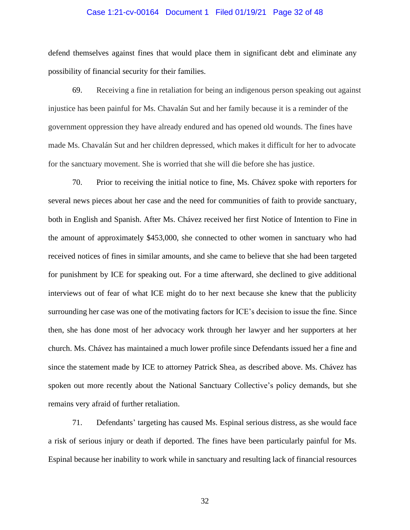#### Case 1:21-cv-00164 Document 1 Filed 01/19/21 Page 32 of 48

defend themselves against fines that would place them in significant debt and eliminate any possibility of financial security for their families.

69. Receiving a fine in retaliation for being an indigenous person speaking out against injustice has been painful for Ms. Chavalán Sut and her family because it is a reminder of the government oppression they have already endured and has opened old wounds. The fines have made Ms. Chavalán Sut and her children depressed, which makes it difficult for her to advocate for the sanctuary movement. She is worried that she will die before she has justice.

70. Prior to receiving the initial notice to fine, Ms. Chávez spoke with reporters for several news pieces about her case and the need for communities of faith to provide sanctuary, both in English and Spanish. After Ms. Chávez received her first Notice of Intention to Fine in the amount of approximately \$453,000, she connected to other women in sanctuary who had received notices of fines in similar amounts, and she came to believe that she had been targeted for punishment by ICE for speaking out. For a time afterward, she declined to give additional interviews out of fear of what ICE might do to her next because she knew that the publicity surrounding her case was one of the motivating factors for ICE's decision to issue the fine. Since then, she has done most of her advocacy work through her lawyer and her supporters at her church. Ms. Chávez has maintained a much lower profile since Defendants issued her a fine and since the statement made by ICE to attorney Patrick Shea, as described above. Ms. Chávez has spoken out more recently about the National Sanctuary Collective's policy demands, but she remains very afraid of further retaliation.

71. Defendants' targeting has caused Ms. Espinal serious distress, as she would face a risk of serious injury or death if deported. The fines have been particularly painful for Ms. Espinal because her inability to work while in sanctuary and resulting lack of financial resources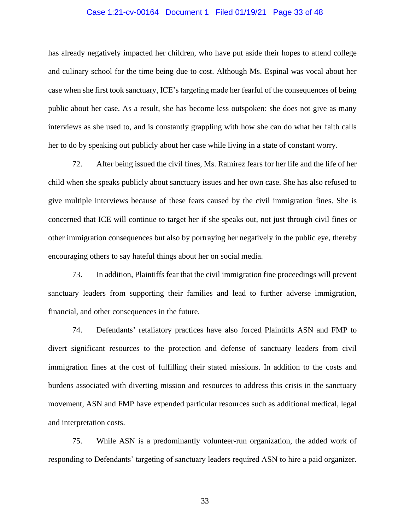#### Case 1:21-cv-00164 Document 1 Filed 01/19/21 Page 33 of 48

has already negatively impacted her children, who have put aside their hopes to attend college and culinary school for the time being due to cost. Although Ms. Espinal was vocal about her case when she first took sanctuary, ICE's targeting made her fearful of the consequences of being public about her case. As a result, she has become less outspoken: she does not give as many interviews as she used to, and is constantly grappling with how she can do what her faith calls her to do by speaking out publicly about her case while living in a state of constant worry.

72. After being issued the civil fines, Ms. Ramirez fears for her life and the life of her child when she speaks publicly about sanctuary issues and her own case. She has also refused to give multiple interviews because of these fears caused by the civil immigration fines. She is concerned that ICE will continue to target her if she speaks out, not just through civil fines or other immigration consequences but also by portraying her negatively in the public eye, thereby encouraging others to say hateful things about her on social media.

73. In addition, Plaintiffs fear that the civil immigration fine proceedings will prevent sanctuary leaders from supporting their families and lead to further adverse immigration, financial, and other consequences in the future.

74. Defendants' retaliatory practices have also forced Plaintiffs ASN and FMP to divert significant resources to the protection and defense of sanctuary leaders from civil immigration fines at the cost of fulfilling their stated missions. In addition to the costs and burdens associated with diverting mission and resources to address this crisis in the sanctuary movement, ASN and FMP have expended particular resources such as additional medical, legal and interpretation costs.

75. While ASN is a predominantly volunteer-run organization, the added work of responding to Defendants' targeting of sanctuary leaders required ASN to hire a paid organizer.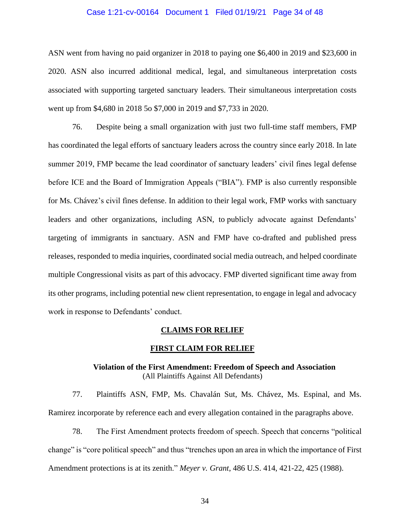#### Case 1:21-cv-00164 Document 1 Filed 01/19/21 Page 34 of 48

ASN went from having no paid organizer in 2018 to paying one \$6,400 in 2019 and \$23,600 in 2020. ASN also incurred additional medical, legal, and simultaneous interpretation costs associated with supporting targeted sanctuary leaders. Their simultaneous interpretation costs went up from \$4,680 in 2018 5o \$7,000 in 2019 and \$7,733 in 2020.

76. Despite being a small organization with just two full-time staff members, FMP has coordinated the legal efforts of sanctuary leaders across the country since early 2018. In late summer 2019, FMP became the lead coordinator of sanctuary leaders' civil fines legal defense before ICE and the Board of Immigration Appeals ("BIA"). FMP is also currently responsible for Ms. Chávez's civil fines defense. In addition to their legal work, FMP works with sanctuary leaders and other organizations, including ASN, to publicly advocate against Defendants' targeting of immigrants in sanctuary. ASN and FMP have co-drafted and published press releases, responded to media inquiries, coordinated social media outreach, and helped coordinate multiple Congressional visits as part of this advocacy. FMP diverted significant time away from its other programs, including potential new client representation, to engage in legal and advocacy work in response to Defendants' conduct.

#### **CLAIMS FOR RELIEF**

#### **FIRST CLAIM FOR RELIEF**

#### **Violation of the First Amendment: Freedom of Speech and Association** (All Plaintiffs Against All Defendants)

77. Plaintiffs ASN, FMP, Ms. Chavalán Sut, Ms. Chávez, Ms. Espinal, and Ms. Ramirez incorporate by reference each and every allegation contained in the paragraphs above.

78. The First Amendment protects freedom of speech. Speech that concerns "political change" is "core political speech" and thus "trenches upon an area in which the importance of First Amendment protections is at its zenith." *Meyer v. Grant*, 486 U.S. 414, 421-22, 425 (1988).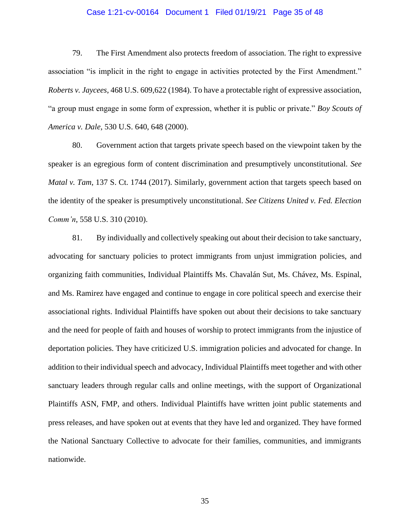#### Case 1:21-cv-00164 Document 1 Filed 01/19/21 Page 35 of 48

79. The First Amendment also protects freedom of association. The right to expressive association "is implicit in the right to engage in activities protected by the First Amendment." *Roberts v. Jaycees*, 468 U.S. 609,622 (1984). To have a protectable right of expressive association, "a group must engage in some form of expression, whether it is public or private." *Boy Scouts of America v. Dale*, 530 U.S. 640, 648 (2000).

80. Government action that targets private speech based on the viewpoint taken by the speaker is an egregious form of content discrimination and presumptively unconstitutional. *See Matal v. Tam*, 137 S. Ct. 1744 (2017). Similarly, government action that targets speech based on the identity of the speaker is presumptively unconstitutional. *See Citizens United v. Fed. Election Comm'n*, 558 U.S. 310 (2010).

81. By individually and collectively speaking out about their decision to take sanctuary, advocating for sanctuary policies to protect immigrants from unjust immigration policies, and organizing faith communities, Individual Plaintiffs Ms. Chavalán Sut, Ms. Chávez, Ms. Espinal, and Ms. Ramirez have engaged and continue to engage in core political speech and exercise their associational rights. Individual Plaintiffs have spoken out about their decisions to take sanctuary and the need for people of faith and houses of worship to protect immigrants from the injustice of deportation policies. They have criticized U.S. immigration policies and advocated for change. In addition to their individual speech and advocacy, Individual Plaintiffs meet together and with other sanctuary leaders through regular calls and online meetings, with the support of Organizational Plaintiffs ASN, FMP, and others. Individual Plaintiffs have written joint public statements and press releases, and have spoken out at events that they have led and organized. They have formed the National Sanctuary Collective to advocate for their families, communities, and immigrants nationwide.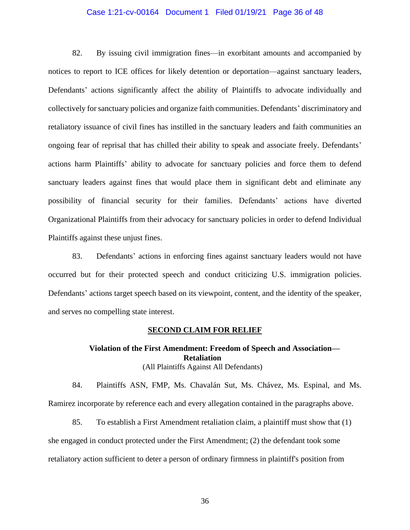#### Case 1:21-cv-00164 Document 1 Filed 01/19/21 Page 36 of 48

82. By issuing civil immigration fines—in exorbitant amounts and accompanied by notices to report to ICE offices for likely detention or deportation—against sanctuary leaders, Defendants' actions significantly affect the ability of Plaintiffs to advocate individually and collectively for sanctuary policies and organize faith communities. Defendants' discriminatory and retaliatory issuance of civil fines has instilled in the sanctuary leaders and faith communities an ongoing fear of reprisal that has chilled their ability to speak and associate freely. Defendants' actions harm Plaintiffs' ability to advocate for sanctuary policies and force them to defend sanctuary leaders against fines that would place them in significant debt and eliminate any possibility of financial security for their families. Defendants' actions have diverted Organizational Plaintiffs from their advocacy for sanctuary policies in order to defend Individual Plaintiffs against these unjust fines.

83. Defendants' actions in enforcing fines against sanctuary leaders would not have occurred but for their protected speech and conduct criticizing U.S. immigration policies. Defendants' actions target speech based on its viewpoint, content, and the identity of the speaker, and serves no compelling state interest.

#### **SECOND CLAIM FOR RELIEF**

## **Violation of the First Amendment: Freedom of Speech and Association— Retaliation** (All Plaintiffs Against All Defendants)

84. Plaintiffs ASN, FMP, Ms. Chavalán Sut, Ms. Chávez, Ms. Espinal, and Ms. Ramirez incorporate by reference each and every allegation contained in the paragraphs above.

85. To establish a First Amendment retaliation claim, a plaintiff must show that (1) she engaged in conduct protected under the First Amendment; (2) the defendant took some retaliatory action sufficient to deter a person of ordinary firmness in plaintiff's position from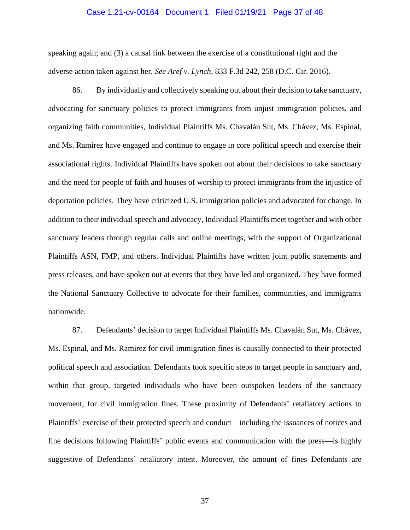#### Case 1:21-cv-00164 Document 1 Filed 01/19/21 Page 37 of 48

speaking again; and (3) a causal link between the exercise of a constitutional right and the adverse action taken against her. *See Aref v. Lynch*, 833 F.3d 242, 258 (D.C. Cir. 2016).

86. By individually and collectively speaking out about their decision to take sanctuary, advocating for sanctuary policies to protect immigrants from unjust immigration policies, and organizing faith communities, Individual Plaintiffs Ms. Chavalán Sut, Ms. Chávez, Ms. Espinal, and Ms. Ramirez have engaged and continue to engage in core political speech and exercise their associational rights. Individual Plaintiffs have spoken out about their decisions to take sanctuary and the need for people of faith and houses of worship to protect immigrants from the injustice of deportation policies. They have criticized U.S. immigration policies and advocated for change. In addition to their individual speech and advocacy, Individual Plaintiffs meet together and with other sanctuary leaders through regular calls and online meetings, with the support of Organizational Plaintiffs ASN, FMP, and others. Individual Plaintiffs have written joint public statements and press releases, and have spoken out at events that they have led and organized. They have formed the National Sanctuary Collective to advocate for their families, communities, and immigrants nationwide.

87. Defendants' decision to target Individual Plaintiffs Ms. Chavalán Sut, Ms. Chávez, Ms. Espinal, and Ms. Ramirez for civil immigration fines is causally connected to their protected political speech and association. Defendants took specific steps to target people in sanctuary and, within that group, targeted individuals who have been outspoken leaders of the sanctuary movement, for civil immigration fines. These proximity of Defendants' retaliatory actions to Plaintiffs' exercise of their protected speech and conduct—including the issuances of notices and fine decisions following Plaintiffs' public events and communication with the press—is highly suggestive of Defendants' retaliatory intent. Moreover, the amount of fines Defendants are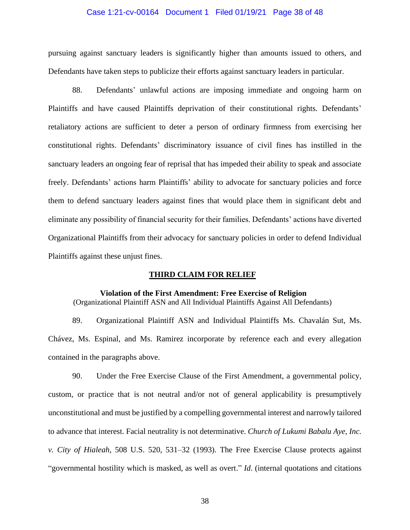#### Case 1:21-cv-00164 Document 1 Filed 01/19/21 Page 38 of 48

pursuing against sanctuary leaders is significantly higher than amounts issued to others, and Defendants have taken steps to publicize their efforts against sanctuary leaders in particular.

88. Defendants' unlawful actions are imposing immediate and ongoing harm on Plaintiffs and have caused Plaintiffs deprivation of their constitutional rights. Defendants' retaliatory actions are sufficient to deter a person of ordinary firmness from exercising her constitutional rights. Defendants' discriminatory issuance of civil fines has instilled in the sanctuary leaders an ongoing fear of reprisal that has impeded their ability to speak and associate freely. Defendants' actions harm Plaintiffs' ability to advocate for sanctuary policies and force them to defend sanctuary leaders against fines that would place them in significant debt and eliminate any possibility of financial security for their families. Defendants' actions have diverted Organizational Plaintiffs from their advocacy for sanctuary policies in order to defend Individual Plaintiffs against these unjust fines.

#### **THIRD CLAIM FOR RELIEF**

#### **Violation of the First Amendment: Free Exercise of Religion**

(Organizational Plaintiff ASN and All Individual Plaintiffs Against All Defendants)

89. Organizational Plaintiff ASN and Individual Plaintiffs Ms. Chavalán Sut, Ms. Chávez, Ms. Espinal, and Ms. Ramirez incorporate by reference each and every allegation contained in the paragraphs above.

90. Under the Free Exercise Clause of the First Amendment, a governmental policy, custom, or practice that is not neutral and/or not of general applicability is presumptively unconstitutional and must be justified by a compelling governmental interest and narrowly tailored to advance that interest. Facial neutrality is not determinative. *Church of Lukumi Babalu Aye, Inc. v. City of Hialeah*, 508 U.S. 520, 531–32 (1993). The Free Exercise Clause protects against "governmental hostility which is masked, as well as overt." *Id*. (internal quotations and citations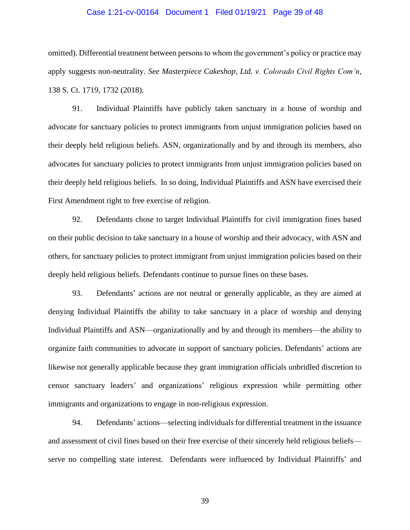#### Case 1:21-cv-00164 Document 1 Filed 01/19/21 Page 39 of 48

omitted). Differential treatment between persons to whom the government's policy or practice may apply suggests non-neutrality. *See Masterpiece Cakeshop, Ltd. v. Colorado Civil Rights Com'n*, 138 S. Ct. 1719, 1732 (2018).

91. Individual Plaintiffs have publicly taken sanctuary in a house of worship and advocate for sanctuary policies to protect immigrants from unjust immigration policies based on their deeply held religious beliefs. ASN, organizationally and by and through its members, also advocates for sanctuary policies to protect immigrants from unjust immigration policies based on their deeply held religious beliefs. In so doing, Individual Plaintiffs and ASN have exercised their First Amendment right to free exercise of religion.

92. Defendants chose to target Individual Plaintiffs for civil immigration fines based on their public decision to take sanctuary in a house of worship and their advocacy, with ASN and others, for sanctuary policies to protect immigrant from unjust immigration policies based on their deeply held religious beliefs. Defendants continue to pursue fines on these bases.

93. Defendants' actions are not neutral or generally applicable, as they are aimed at denying Individual Plaintiffs the ability to take sanctuary in a place of worship and denying Individual Plaintiffs and ASN—organizationally and by and through its members—the ability to organize faith communities to advocate in support of sanctuary policies. Defendants' actions are likewise not generally applicable because they grant immigration officials unbridled discretion to censor sanctuary leaders' and organizations' religious expression while permitting other immigrants and organizations to engage in non-religious expression.

94. Defendants' actions—selecting individuals for differential treatment in the issuance and assessment of civil fines based on their free exercise of their sincerely held religious beliefs serve no compelling state interest. Defendants were influenced by Individual Plaintiffs' and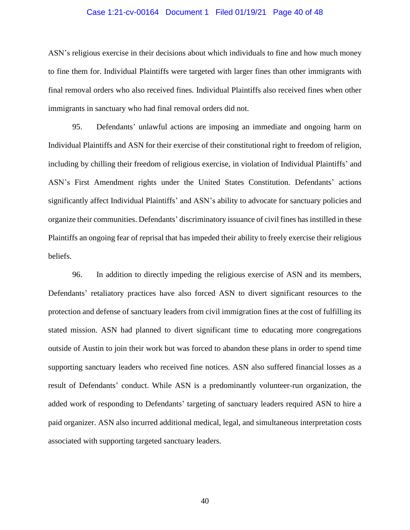#### Case 1:21-cv-00164 Document 1 Filed 01/19/21 Page 40 of 48

ASN's religious exercise in their decisions about which individuals to fine and how much money to fine them for. Individual Plaintiffs were targeted with larger fines than other immigrants with final removal orders who also received fines. Individual Plaintiffs also received fines when other immigrants in sanctuary who had final removal orders did not.

95. Defendants' unlawful actions are imposing an immediate and ongoing harm on Individual Plaintiffs and ASN for their exercise of their constitutional right to freedom of religion, including by chilling their freedom of religious exercise, in violation of Individual Plaintiffs' and ASN's First Amendment rights under the United States Constitution. Defendants' actions significantly affect Individual Plaintiffs' and ASN's ability to advocate for sanctuary policies and organize their communities. Defendants' discriminatory issuance of civil fines has instilled in these Plaintiffs an ongoing fear of reprisal that has impeded their ability to freely exercise their religious beliefs.

96. In addition to directly impeding the religious exercise of ASN and its members, Defendants' retaliatory practices have also forced ASN to divert significant resources to the protection and defense of sanctuary leaders from civil immigration fines at the cost of fulfilling its stated mission. ASN had planned to divert significant time to educating more congregations outside of Austin to join their work but was forced to abandon these plans in order to spend time supporting sanctuary leaders who received fine notices. ASN also suffered financial losses as a result of Defendants' conduct. While ASN is a predominantly volunteer-run organization, the added work of responding to Defendants' targeting of sanctuary leaders required ASN to hire a paid organizer. ASN also incurred additional medical, legal, and simultaneous interpretation costs associated with supporting targeted sanctuary leaders.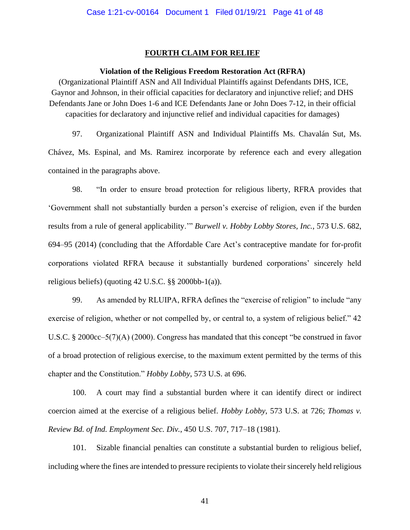#### **FOURTH CLAIM FOR RELIEF**

#### **Violation of the Religious Freedom Restoration Act (RFRA)**

(Organizational Plaintiff ASN and All Individual Plaintiffs against Defendants DHS, ICE, Gaynor and Johnson, in their official capacities for declaratory and injunctive relief; and DHS Defendants Jane or John Does 1-6 and ICE Defendants Jane or John Does 7-12, in their official capacities for declaratory and injunctive relief and individual capacities for damages)

97. Organizational Plaintiff ASN and Individual Plaintiffs Ms. Chavalán Sut, Ms. Chávez, Ms. Espinal, and Ms. Ramirez incorporate by reference each and every allegation contained in the paragraphs above.

98. "In order to ensure broad protection for religious liberty, RFRA provides that 'Government shall not substantially burden a person's exercise of religion, even if the burden results from a rule of general applicability.'" *Burwell v. Hobby Lobby Stores, Inc.*, 573 U.S. 682, 694–95 (2014) (concluding that the Affordable Care Act's contraceptive mandate for for-profit corporations violated RFRA because it substantially burdened corporations' sincerely held religious beliefs) (quoting 42 U.S.C. §§ 2000bb-1(a)).

99. As amended by RLUIPA, RFRA defines the "exercise of religion" to include "any exercise of religion, whether or not compelled by, or central to, a system of religious belief." 42 U.S.C. § 2000cc–5(7)(A) (2000). Congress has mandated that this concept "be construed in favor of a broad protection of religious exercise, to the maximum extent permitted by the terms of this chapter and the Constitution." *Hobby Lobby*, 573 U.S. at 696.

100. A court may find a substantial burden where it can identify direct or indirect coercion aimed at the exercise of a religious belief. *Hobby Lobby*, 573 U.S. at 726; *Thomas v. Review Bd. of Ind. Employment Sec. Div.*, 450 U.S. 707, 717–18 (1981).

101. Sizable financial penalties can constitute a substantial burden to religious belief, including where the fines are intended to pressure recipients to violate their sincerely held religious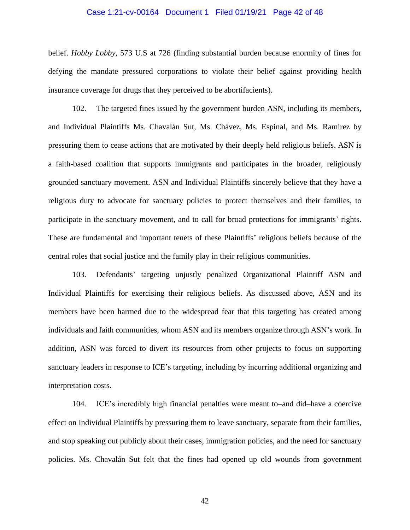#### Case 1:21-cv-00164 Document 1 Filed 01/19/21 Page 42 of 48

belief. *Hobby Lobby*, 573 U.S at 726 (finding substantial burden because enormity of fines for defying the mandate pressured corporations to violate their belief against providing health insurance coverage for drugs that they perceived to be abortifacients).

102. The targeted fines issued by the government burden ASN, including its members, and Individual Plaintiffs Ms. Chavalán Sut, Ms. Chávez, Ms. Espinal, and Ms. Ramirez by pressuring them to cease actions that are motivated by their deeply held religious beliefs. ASN is a faith-based coalition that supports immigrants and participates in the broader, religiously grounded sanctuary movement. ASN and Individual Plaintiffs sincerely believe that they have a religious duty to advocate for sanctuary policies to protect themselves and their families, to participate in the sanctuary movement, and to call for broad protections for immigrants' rights. These are fundamental and important tenets of these Plaintiffs' religious beliefs because of the central roles that social justice and the family play in their religious communities.

103. Defendants' targeting unjustly penalized Organizational Plaintiff ASN and Individual Plaintiffs for exercising their religious beliefs. As discussed above, ASN and its members have been harmed due to the widespread fear that this targeting has created among individuals and faith communities, whom ASN and its members organize through ASN's work. In addition, ASN was forced to divert its resources from other projects to focus on supporting sanctuary leaders in response to ICE's targeting, including by incurring additional organizing and interpretation costs.

104. ICE's incredibly high financial penalties were meant to–and did–have a coercive effect on Individual Plaintiffs by pressuring them to leave sanctuary, separate from their families, and stop speaking out publicly about their cases, immigration policies, and the need for sanctuary policies. Ms. Chavalán Sut felt that the fines had opened up old wounds from government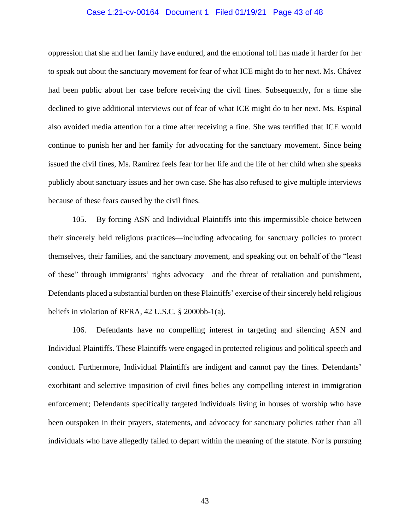#### Case 1:21-cv-00164 Document 1 Filed 01/19/21 Page 43 of 48

oppression that she and her family have endured, and the emotional toll has made it harder for her to speak out about the sanctuary movement for fear of what ICE might do to her next. Ms. Chávez had been public about her case before receiving the civil fines. Subsequently, for a time she declined to give additional interviews out of fear of what ICE might do to her next. Ms. Espinal also avoided media attention for a time after receiving a fine. She was terrified that ICE would continue to punish her and her family for advocating for the sanctuary movement. Since being issued the civil fines, Ms. Ramirez feels fear for her life and the life of her child when she speaks publicly about sanctuary issues and her own case. She has also refused to give multiple interviews because of these fears caused by the civil fines.

105. By forcing ASN and Individual Plaintiffs into this impermissible choice between their sincerely held religious practices—including advocating for sanctuary policies to protect themselves, their families, and the sanctuary movement, and speaking out on behalf of the "least of these" through immigrants' rights advocacy—and the threat of retaliation and punishment, Defendants placed a substantial burden on these Plaintiffs' exercise of their sincerely held religious beliefs in violation of RFRA, 42 U.S.C. § 2000bb-1(a).

106. Defendants have no compelling interest in targeting and silencing ASN and Individual Plaintiffs. These Plaintiffs were engaged in protected religious and political speech and conduct. Furthermore, Individual Plaintiffs are indigent and cannot pay the fines. Defendants' exorbitant and selective imposition of civil fines belies any compelling interest in immigration enforcement; Defendants specifically targeted individuals living in houses of worship who have been outspoken in their prayers, statements, and advocacy for sanctuary policies rather than all individuals who have allegedly failed to depart within the meaning of the statute. Nor is pursuing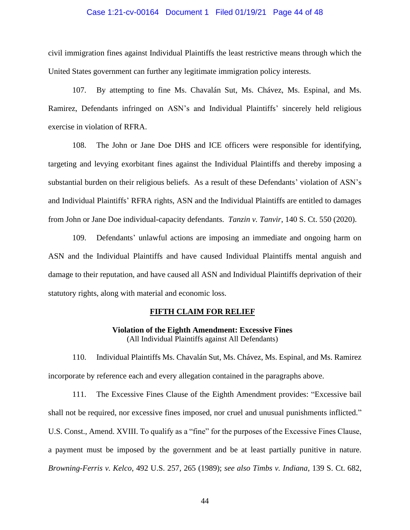#### Case 1:21-cv-00164 Document 1 Filed 01/19/21 Page 44 of 48

civil immigration fines against Individual Plaintiffs the least restrictive means through which the United States government can further any legitimate immigration policy interests.

107. By attempting to fine Ms. Chavalán Sut, Ms. Chávez, Ms. Espinal, and Ms. Ramirez, Defendants infringed on ASN's and Individual Plaintiffs' sincerely held religious exercise in violation of RFRA.

108. The John or Jane Doe DHS and ICE officers were responsible for identifying, targeting and levying exorbitant fines against the Individual Plaintiffs and thereby imposing a substantial burden on their religious beliefs. As a result of these Defendants' violation of ASN's and Individual Plaintiffs' RFRA rights, ASN and the Individual Plaintiffs are entitled to damages from John or Jane Doe individual-capacity defendants. *Tanzin v. Tanvir*, 140 S. Ct. 550 (2020).

109. Defendants' unlawful actions are imposing an immediate and ongoing harm on ASN and the Individual Plaintiffs and have caused Individual Plaintiffs mental anguish and damage to their reputation, and have caused all ASN and Individual Plaintiffs deprivation of their statutory rights, along with material and economic loss.

### **FIFTH CLAIM FOR RELIEF**

**Violation of the Eighth Amendment: Excessive Fines** (All Individual Plaintiffs against All Defendants)

110. Individual Plaintiffs Ms. Chavalán Sut, Ms. Chávez, Ms. Espinal, and Ms. Ramirez incorporate by reference each and every allegation contained in the paragraphs above.

111. The Excessive Fines Clause of the Eighth Amendment provides: "Excessive bail shall not be required, nor excessive fines imposed, nor cruel and unusual punishments inflicted." U.S. Const., Amend. XVIII. To qualify as a "fine" for the purposes of the Excessive Fines Clause, a payment must be imposed by the government and be at least partially punitive in nature. *Browning-Ferris v. Kelco*, 492 U.S. 257, 265 (1989); *see also Timbs v. Indiana*, 139 S. Ct. 682,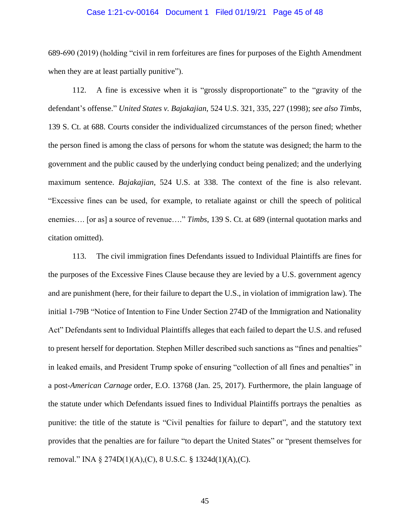#### Case 1:21-cv-00164 Document 1 Filed 01/19/21 Page 45 of 48

689-690 (2019) (holding "civil in rem forfeitures are fines for purposes of the Eighth Amendment when they are at least partially punitive".

112. A fine is excessive when it is "grossly disproportionate" to the "gravity of the defendant's offense." *United States v. Bajakajian*, 524 U.S. 321, 335, 227 (1998); *see also Timbs*, 139 S. Ct. at 688. Courts consider the individualized circumstances of the person fined; whether the person fined is among the class of persons for whom the statute was designed; the harm to the government and the public caused by the underlying conduct being penalized; and the underlying maximum sentence. *Bajakajian*, 524 U.S. at 338. The context of the fine is also relevant. "Excessive fines can be used, for example, to retaliate against or chill the speech of political enemies…. [or as] a source of revenue…." *Timbs*, 139 S. Ct. at 689 (internal quotation marks and citation omitted).

113. The civil immigration fines Defendants issued to Individual Plaintiffs are fines for the purposes of the Excessive Fines Clause because they are levied by a U.S. government agency and are punishment (here, for their failure to depart the U.S., in violation of immigration law). The initial 1-79B "Notice of Intention to Fine Under Section 274D of the Immigration and Nationality Act" Defendants sent to Individual Plaintiffs alleges that each failed to depart the U.S. and refused to present herself for deportation. Stephen Miller described such sanctions as "fines and penalties" in leaked emails, and President Trump spoke of ensuring "collection of all fines and penalties" in a post-*American Carnage* order, E.O. 13768 (Jan. 25, 2017). Furthermore, the plain language of the statute under which Defendants issued fines to Individual Plaintiffs portrays the penalties as punitive: the title of the statute is "Civil penalties for failure to depart", and the statutory text provides that the penalties are for failure "to depart the United States" or "present themselves for removal." INA § 274D(1)(A),(C), 8 U.S.C. § 1324d(1)(A),(C).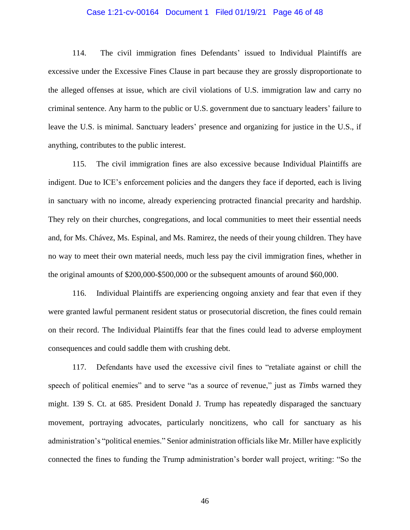#### Case 1:21-cv-00164 Document 1 Filed 01/19/21 Page 46 of 48

114. The civil immigration fines Defendants' issued to Individual Plaintiffs are excessive under the Excessive Fines Clause in part because they are grossly disproportionate to the alleged offenses at issue, which are civil violations of U.S. immigration law and carry no criminal sentence. Any harm to the public or U.S. government due to sanctuary leaders' failure to leave the U.S. is minimal. Sanctuary leaders' presence and organizing for justice in the U.S., if anything, contributes to the public interest.

115. The civil immigration fines are also excessive because Individual Plaintiffs are indigent. Due to ICE's enforcement policies and the dangers they face if deported, each is living in sanctuary with no income, already experiencing protracted financial precarity and hardship. They rely on their churches, congregations, and local communities to meet their essential needs and, for Ms. Chávez, Ms. Espinal, and Ms. Ramirez, the needs of their young children. They have no way to meet their own material needs, much less pay the civil immigration fines, whether in the original amounts of \$200,000-\$500,000 or the subsequent amounts of around \$60,000.

116. Individual Plaintiffs are experiencing ongoing anxiety and fear that even if they were granted lawful permanent resident status or prosecutorial discretion, the fines could remain on their record. The Individual Plaintiffs fear that the fines could lead to adverse employment consequences and could saddle them with crushing debt.

117. Defendants have used the excessive civil fines to "retaliate against or chill the speech of political enemies" and to serve "as a source of revenue," just as *Timbs* warned they might. 139 S. Ct. at 685. President Donald J. Trump has repeatedly disparaged the sanctuary movement, portraying advocates, particularly noncitizens, who call for sanctuary as his administration's "political enemies." Senior administration officials like Mr. Miller have explicitly connected the fines to funding the Trump administration's border wall project, writing: "So the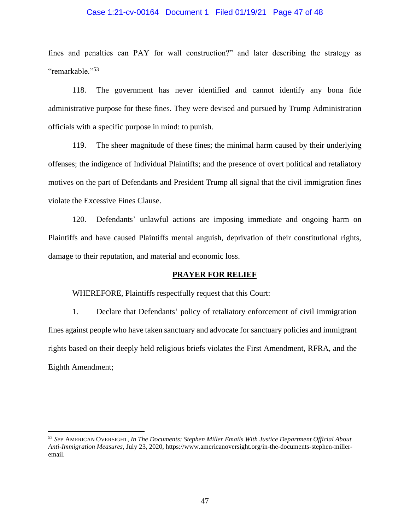#### Case 1:21-cv-00164 Document 1 Filed 01/19/21 Page 47 of 48

fines and penalties can PAY for wall construction?" and later describing the strategy as "remarkable."<sup>53</sup>

118. The government has never identified and cannot identify any bona fide administrative purpose for these fines. They were devised and pursued by Trump Administration officials with a specific purpose in mind: to punish.

119. The sheer magnitude of these fines; the minimal harm caused by their underlying offenses; the indigence of Individual Plaintiffs; and the presence of overt political and retaliatory motives on the part of Defendants and President Trump all signal that the civil immigration fines violate the Excessive Fines Clause.

120. Defendants' unlawful actions are imposing immediate and ongoing harm on Plaintiffs and have caused Plaintiffs mental anguish, deprivation of their constitutional rights, damage to their reputation, and material and economic loss.

#### **PRAYER FOR RELIEF**

WHEREFORE, Plaintiffs respectfully request that this Court:

1. Declare that Defendants' policy of retaliatory enforcement of civil immigration fines against people who have taken sanctuary and advocate for sanctuary policies and immigrant rights based on their deeply held religious briefs violates the First Amendment, RFRA, and the Eighth Amendment;

<sup>53</sup> *See* AMERICAN OVERSIGHT, *In The Documents: Stephen Miller Emails With Justice Department Official About Anti-Immigration Measures*, July 23, 2020, https://www.americanoversight.org/in-the-documents-stephen-milleremail.